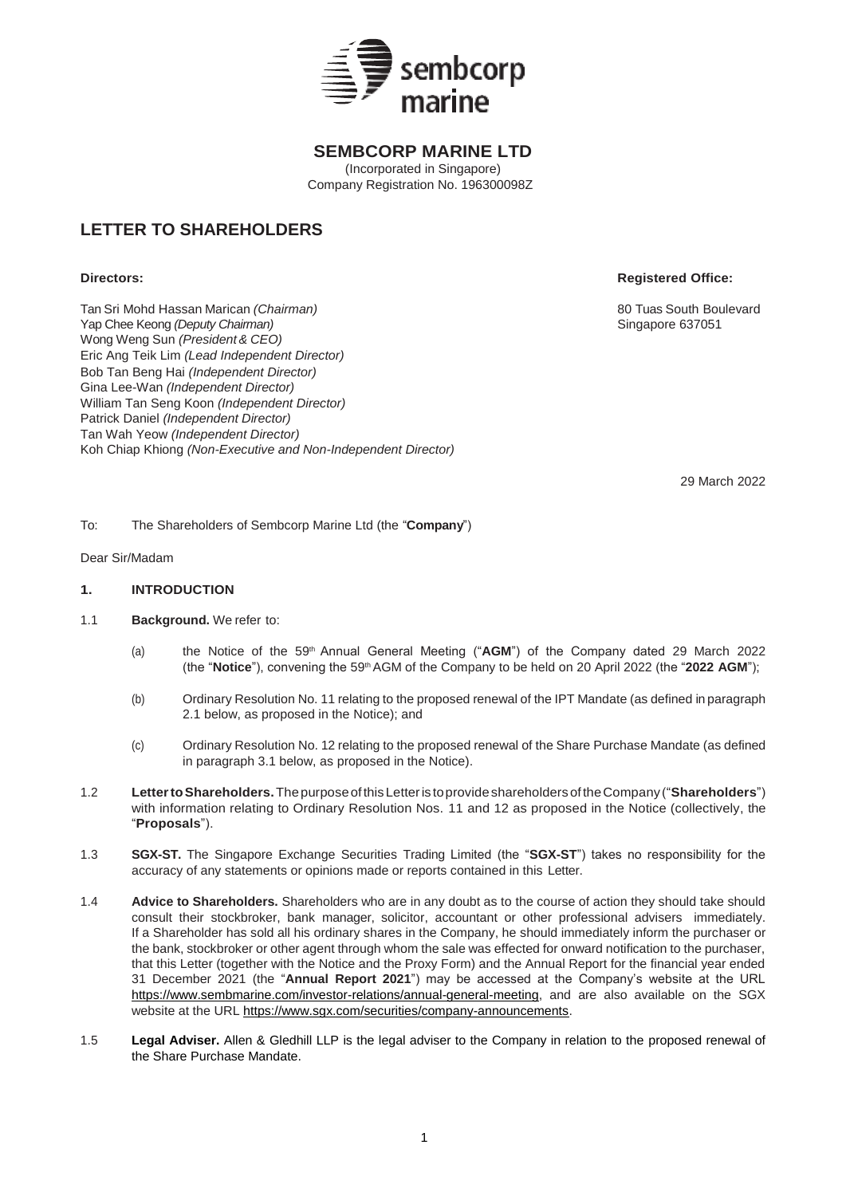

# **SEMBCORP MARINE LTD**

(Incorporated in Singapore) Company Registration No. 196300098Z

# **LETTER TO SHAREHOLDERS**

**Directors: Registered Office:**

Tan Sri Mohd Hassan Marican *(Chairman)* 80 Tuas South Boulevard Yap Chee Keong (Deputy Chairman) Wong Weng Sun *(President& CEO)* Eric Ang Teik Lim *(Lead Independent Director)* Bob Tan Beng Hai *(Independent Director)*  Gina Lee-Wan *(Independent Director)* William Tan Seng Koon *(Independent Director)* Patrick Daniel *(Independent Director)* Tan Wah Yeow *(Independent Director)* Koh Chiap Khiong *(Non-Executive and Non-Independent Director)*

29 March 2022

To: The Shareholders of Sembcorp Marine Ltd (the "**Company**")

## Dear Sir/Madam

## **1. INTRODUCTION**

- 1.1 **Background.** We refer to:
	- (a) the Notice of the 59th Annual General Meeting ("**AGM**") of the Company dated 29 March 2022 (the "**Notice**"), convening the 59th AGM of the Company to be held on 20 April 2022 (the "**2022 AGM**");
	- (b) Ordinary Resolution No. 11 relating to the proposed renewal of the IPT Mandate (as defined in paragraph 2.1 below, as proposed in the Notice); and
	- (c) Ordinary Resolution No. 12 relating to the proposed renewal of the Share Purchase Mandate (as defined in paragraph 3.1 below, as proposed in the Notice).
- 1.2 **LettertoShareholders.**ThepurposeofthisLetteris toprovideshareholders oftheCompany ("**Shareholders**") with information relating to Ordinary Resolution Nos. 11 and 12 as proposed in the Notice (collectively, the "**Proposals**").
- 1.3 **SGX-ST.** The Singapore Exchange Securities Trading Limited (the "**SGX-ST**") takes no responsibility for the accuracy of any statements or opinions made or reports contained in this Letter.
- 1.4 **Advice to Shareholders.** Shareholders who are in any doubt as to the course of action they should take should consult their stockbroker, bank manager, solicitor, accountant or other professional advisers immediately. If a Shareholder has sold all his ordinary shares in the Company, he should immediately inform the purchaser or the bank, stockbroker or other agent through whom the sale was effected for onward notification to the purchaser, that this Letter (together with the Notice and the Proxy Form) and the Annual Report for the financial year ended 31 December 2021 (the "**Annual Report 2021**") may be accessed at the Company's website at the URL [https://www.sembmarine.com/investor-relations/annual-general-meeting,](https://www.sembmarine.com/investor-relations/annual-general-meeting) and are also available on the SGX website at the URL [https://www.sgx.com/securities/company-announcements.](https://www.sgx.com/securities/company-announcements)
- 1.5 **Legal Adviser.** Allen & Gledhill LLP is the legal adviser to the Company in relation to the proposed renewal of the Share Purchase Mandate.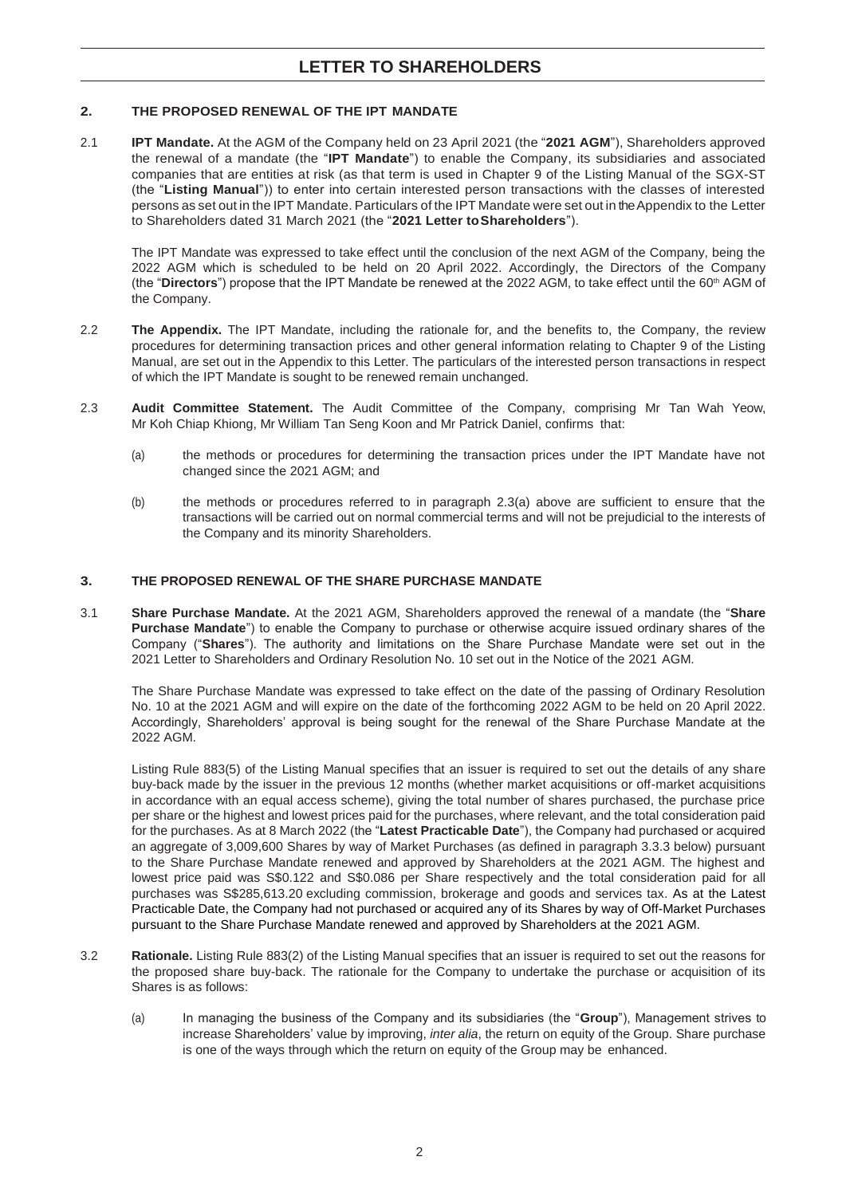## **2. THE PROPOSED RENEWAL OF THE IPT MANDATE**

2.1 **IPT Mandate.** At the AGM of the Company held on 23 April 2021 (the "**2021 AGM**"), Shareholders approved the renewal of a mandate (the "**IPT Mandate**") to enable the Company, its subsidiaries and associated companies that are entities at risk (as that term is used in Chapter 9 of the Listing Manual of the SGX-ST (the "**Listing Manual**")) to enter into certain interested person transactions with the classes of interested persons as set out in the IPT Mandate. Particulars of the IPT Mandate were set out in the Appendix to the Letter to Shareholders dated 31 March 2021 (the "**2021 Letter toShareholders**").

The IPT Mandate was expressed to take effect until the conclusion of the next AGM of the Company, being the 2022 AGM which is scheduled to be held on 20 April 2022. Accordingly, the Directors of the Company (the "**Directors**") propose that the IPT Mandate be renewed at the 2022 AGM, to take effect until the 60<sup>th</sup> AGM of the Company.

- 2.2 **The Appendix.** The IPT Mandate, including the rationale for, and the benefits to, the Company, the review procedures for determining transaction prices and other general information relating to Chapter 9 of the Listing Manual, are set out in the Appendix to this Letter. The particulars of the interested person transactions in respect of which the IPT Mandate is sought to be renewed remain unchanged.
- 2.3 **Audit Committee Statement.** The Audit Committee of the Company, comprising Mr Tan Wah Yeow, Mr Koh Chiap Khiong, Mr William Tan Seng Koon and Mr Patrick Daniel, confirms that:
	- (a) the methods or procedures for determining the transaction prices under the IPT Mandate have not changed since the 2021 AGM; and
	- (b) the methods or procedures referred to in paragraph 2.3(a) above are sufficient to ensure that the transactions will be carried out on normal commercial terms and will not be prejudicial to the interests of the Company and its minority Shareholders.

## **3. THE PROPOSED RENEWAL OF THE SHARE PURCHASE MANDATE**

3.1 **Share Purchase Mandate.** At the 2021 AGM, Shareholders approved the renewal of a mandate (the "**Share Purchase Mandate**") to enable the Company to purchase or otherwise acquire issued ordinary shares of the Company ("**Shares**"). The authority and limitations on the Share Purchase Mandate were set out in the 2021 Letter to Shareholders and Ordinary Resolution No. 10 set out in the Notice of the 2021 AGM.

The Share Purchase Mandate was expressed to take effect on the date of the passing of Ordinary Resolution No. 10 at the 2021 AGM and will expire on the date of the forthcoming 2022 AGM to be held on 20 April 2022. Accordingly, Shareholders' approval is being sought for the renewal of the Share Purchase Mandate at the 2022 AGM.

Listing Rule 883(5) of the Listing Manual specifies that an issuer is required to set out the details of any share buy-back made by the issuer in the previous 12 months (whether market acquisitions or off-market acquisitions in accordance with an equal access scheme), giving the total number of shares purchased, the purchase price per share or the highest and lowest prices paid for the purchases, where relevant, and the total consideration paid for the purchases. As at 8 March 2022 (the "**Latest Practicable Date**"), the Company had purchased or acquired an aggregate of 3,009,600 Shares by way of Market Purchases (as defined in paragraph 3.3.3 below) pursuant to the Share Purchase Mandate renewed and approved by Shareholders at the 2021 AGM. The highest and lowest price paid was S\$0.122 and S\$0.086 per Share respectively and the total consideration paid for all purchases was S\$285,613.20 excluding commission, brokerage and goods and services tax. As at the Latest Practicable Date, the Company had not purchased or acquired any of its Shares by way of Off-Market Purchases pursuant to the Share Purchase Mandate renewed and approved by Shareholders at the 2021 AGM.

- 3.2 **Rationale.** Listing Rule 883(2) of the Listing Manual specifies that an issuer is required to set out the reasons for the proposed share buy-back. The rationale for the Company to undertake the purchase or acquisition of its Shares is as follows:
	- (a) In managing the business of the Company and its subsidiaries (the "**Group**"), Management strives to increase Shareholders' value by improving, *inter alia*, the return on equity of the Group. Share purchase is one of the ways through which the return on equity of the Group may be enhanced.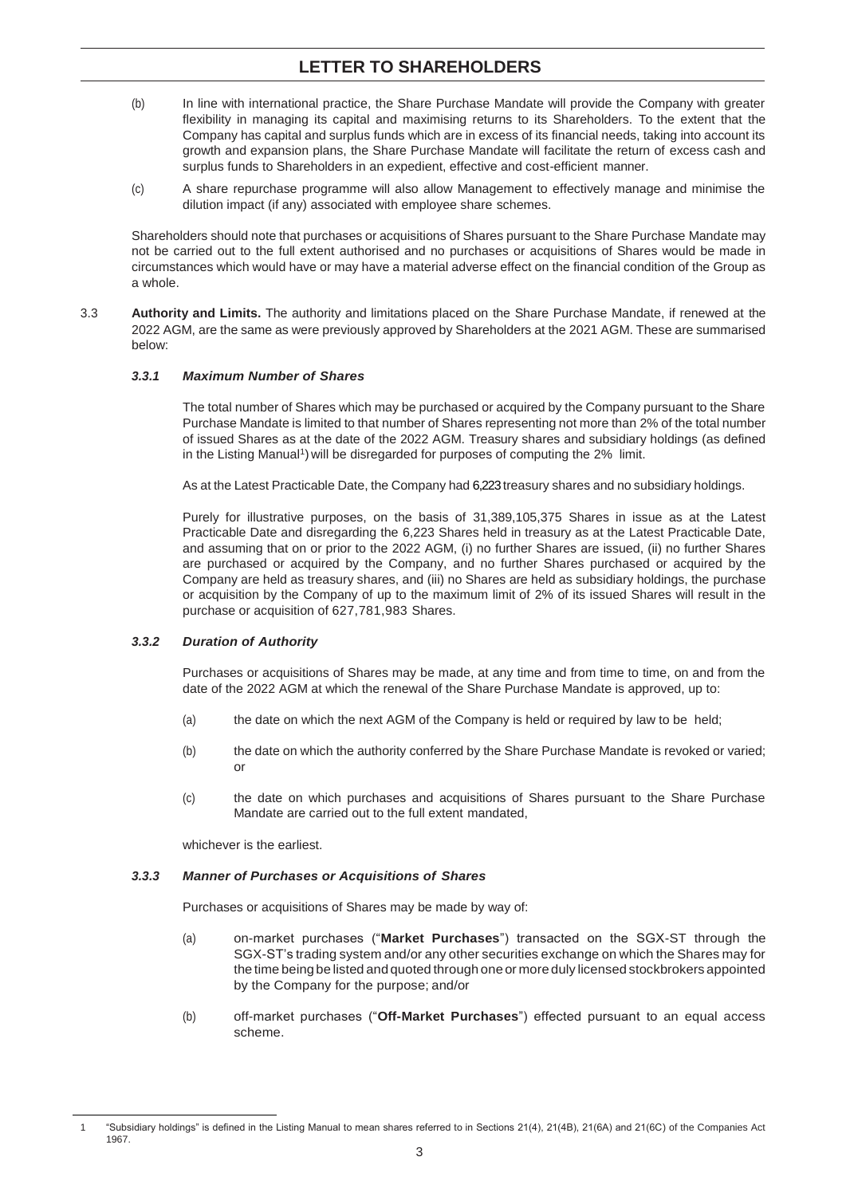- (b) In line with international practice, the Share Purchase Mandate will provide the Company with greater flexibility in managing its capital and maximising returns to its Shareholders. To the extent that the Company has capital and surplus funds which are in excess of its financial needs, taking into account its growth and expansion plans, the Share Purchase Mandate will facilitate the return of excess cash and surplus funds to Shareholders in an expedient, effective and cost-efficient manner.
- (c) A share repurchase programme will also allow Management to effectively manage and minimise the dilution impact (if any) associated with employee share schemes.

Shareholders should note that purchases or acquisitions of Shares pursuant to the Share Purchase Mandate may not be carried out to the full extent authorised and no purchases or acquisitions of Shares would be made in circumstances which would have or may have a material adverse effect on the financial condition of the Group as a whole.

3.3 **Authority and Limits.** The authority and limitations placed on the Share Purchase Mandate, if renewed at the 2022 AGM, are the same as were previously approved by Shareholders at the 2021 AGM. These are summarised below:

## *3.3.1 Maximum Number of Shares*

The total number of Shares which may be purchased or acquired by the Company pursuant to the Share Purchase Mandate is limited to that number of Shares representing not more than 2% of the total number of issued Shares as at the date of the 2022 AGM. Treasury shares and subsidiary holdings (as defined in the Listing Manual<sup>1</sup>) will be disregarded for purposes of computing the 2% limit.

As at the Latest Practicable Date, the Company had 6,223treasury shares and no subsidiary holdings.

Purely for illustrative purposes, on the basis of 31,389,105,375 Shares in issue as at the Latest Practicable Date and disregarding the 6,223 Shares held in treasury as at the Latest Practicable Date, and assuming that on or prior to the 2022 AGM, (i) no further Shares are issued, (ii) no further Shares are purchased or acquired by the Company, and no further Shares purchased or acquired by the Company are held as treasury shares, and (iii) no Shares are held as subsidiary holdings, the purchase or acquisition by the Company of up to the maximum limit of 2% of its issued Shares will result in the purchase or acquisition of 627,781,983 Shares.

#### *3.3.2 Duration of Authority*

Purchases or acquisitions of Shares may be made, at any time and from time to time, on and from the date of the 2022 AGM at which the renewal of the Share Purchase Mandate is approved, up to:

- (a) the date on which the next AGM of the Company is held or required by law to be held;
- (b) the date on which the authority conferred by the Share Purchase Mandate is revoked or varied; or
- (c) the date on which purchases and acquisitions of Shares pursuant to the Share Purchase Mandate are carried out to the full extent mandated,

whichever is the earliest.

-

#### *3.3.3 Manner of Purchases or Acquisitions of Shares*

Purchases or acquisitions of Shares may be made by way of:

- (a) on-market purchases ("**Market Purchases**") transacted on the SGX-ST through the SGX-ST's trading system and/or any other securities exchange on which the Shares may for the time being be listed and quoted through one or more duly licensed stockbrokers appointed by the Company for the purpose; and/or
- (b) off-market purchases ("**Off-Market Purchases**") effected pursuant to an equal access scheme.

<sup>1</sup> "Subsidiary holdings" is defined in the Listing Manual to mean shares referred to in Sections 21(4), 21(4B), 21(6A) and 21(6C) of the Companies Act 1967.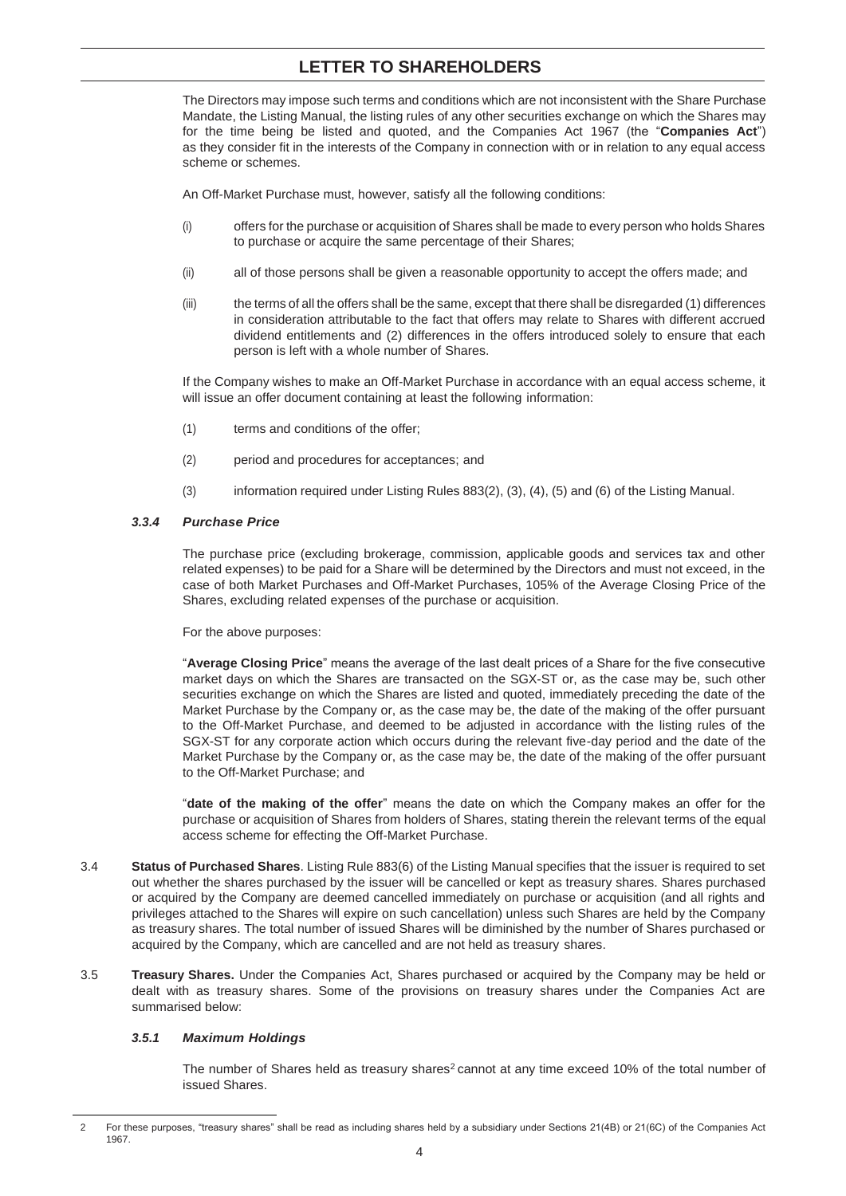The Directors may impose such terms and conditions which are not inconsistent with the Share Purchase Mandate, the Listing Manual, the listing rules of any other securities exchange on which the Shares may for the time being be listed and quoted, and the Companies Act 1967 (the "**Companies Act**") as they consider fit in the interests of the Company in connection with or in relation to any equal access scheme or schemes.

An Off-Market Purchase must, however, satisfy all the following conditions:

- (i) offers for the purchase or acquisition of Shares shall be made to every person who holds Shares to purchase or acquire the same percentage of their Shares;
- (ii) all of those persons shall be given a reasonable opportunity to accept the offers made; and
- (iii) the terms of all the offers shall be the same, except that there shall be disregarded (1) differences in consideration attributable to the fact that offers may relate to Shares with different accrued dividend entitlements and (2) differences in the offers introduced solely to ensure that each person is left with a whole number of Shares.

If the Company wishes to make an Off-Market Purchase in accordance with an equal access scheme, it will issue an offer document containing at least the following information:

- (1) terms and conditions of the offer;
- (2) period and procedures for acceptances; and
- (3) information required under Listing Rules 883(2), (3), (4), (5) and (6) of the Listing Manual.

## *3.3.4 Purchase Price*

The purchase price (excluding brokerage, commission, applicable goods and services tax and other related expenses) to be paid for a Share will be determined by the Directors and must not exceed, in the case of both Market Purchases and Off-Market Purchases, 105% of the Average Closing Price of the Shares, excluding related expenses of the purchase or acquisition.

For the above purposes:

"**Average Closing Price**" means the average of the last dealt prices of a Share for the five consecutive market days on which the Shares are transacted on the SGX-ST or, as the case may be, such other securities exchange on which the Shares are listed and quoted, immediately preceding the date of the Market Purchase by the Company or, as the case may be, the date of the making of the offer pursuant to the Off-Market Purchase, and deemed to be adjusted in accordance with the listing rules of the SGX-ST for any corporate action which occurs during the relevant five-day period and the date of the Market Purchase by the Company or, as the case may be, the date of the making of the offer pursuant to the Off-Market Purchase; and

"**date of the making of the offer**" means the date on which the Company makes an offer for the purchase or acquisition of Shares from holders of Shares, stating therein the relevant terms of the equal access scheme for effecting the Off-Market Purchase.

- 3.4 **Status of Purchased Shares**. Listing Rule 883(6) of the Listing Manual specifies that the issuer is required to set out whether the shares purchased by the issuer will be cancelled or kept as treasury shares. Shares purchased or acquired by the Company are deemed cancelled immediately on purchase or acquisition (and all rights and privileges attached to the Shares will expire on such cancellation) unless such Shares are held by the Company as treasury shares. The total number of issued Shares will be diminished by the number of Shares purchased or acquired by the Company, which are cancelled and are not held as treasury shares.
- 3.5 **Treasury Shares.** Under the Companies Act, Shares purchased or acquired by the Company may be held or dealt with as treasury shares. Some of the provisions on treasury shares under the Companies Act are summarised below:

## *3.5.1 Maximum Holdings*

The number of Shares held as treasury shares<sup>2</sup> cannot at any time exceed 10% of the total number of issued Shares.

<sup>-</sup>2 For these purposes, "treasury shares" shall be read as including shares held by a subsidiary under Sections 21(4B) or 21(6C) of the Companies Act 1967.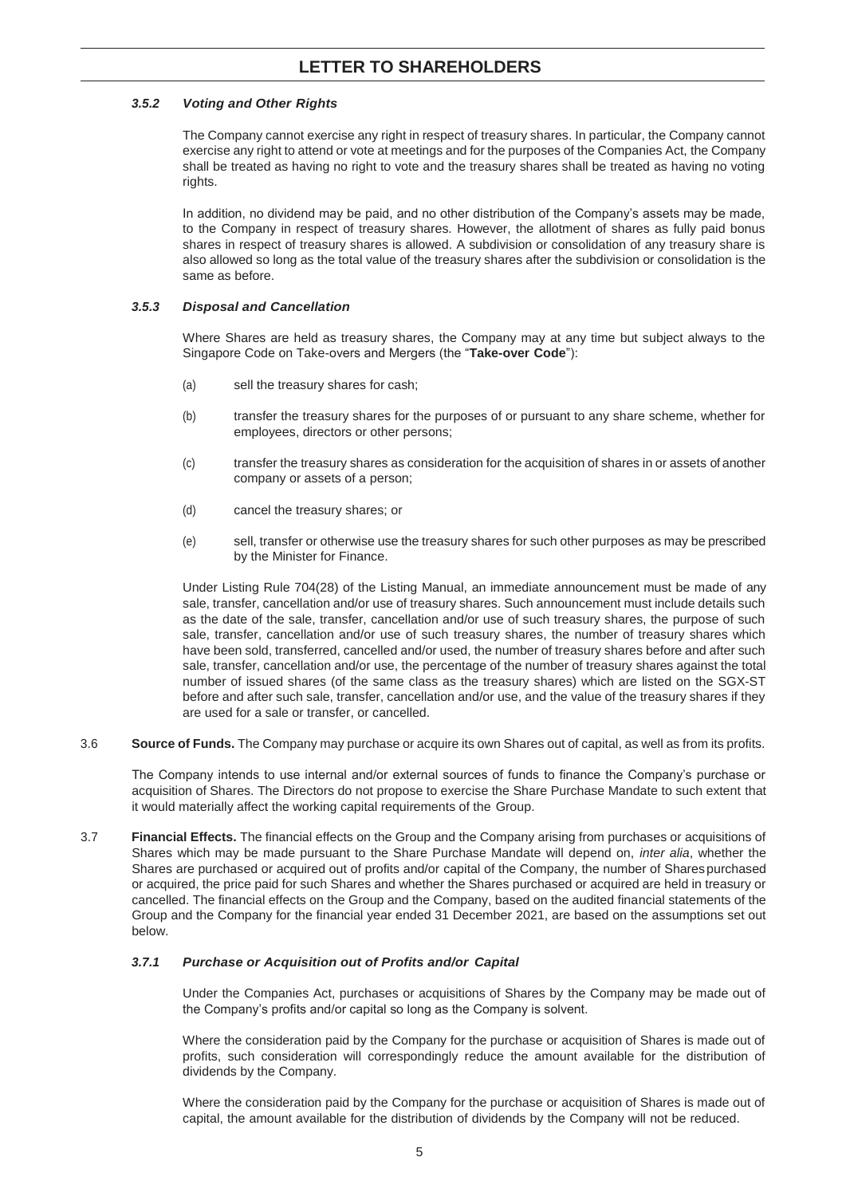## *3.5.2 Voting and Other Rights*

The Company cannot exercise any right in respect of treasury shares. In particular, the Company cannot exercise any right to attend or vote at meetings and for the purposes of the Companies Act, the Company shall be treated as having no right to vote and the treasury shares shall be treated as having no voting rights.

In addition, no dividend may be paid, and no other distribution of the Company's assets may be made, to the Company in respect of treasury shares. However, the allotment of shares as fully paid bonus shares in respect of treasury shares is allowed. A subdivision or consolidation of any treasury share is also allowed so long as the total value of the treasury shares after the subdivision or consolidation is the same as before.

## *3.5.3 Disposal and Cancellation*

Where Shares are held as treasury shares, the Company may at any time but subject always to the Singapore Code on Take-overs and Mergers (the "**Take-over Code**"):

- (a) sell the treasury shares for cash;
- (b) transfer the treasury shares for the purposes of or pursuant to any share scheme, whether for employees, directors or other persons;
- (c) transfer the treasury shares as consideration for the acquisition of shares in or assets of another company or assets of a person;
- (d) cancel the treasury shares; or
- (e) sell, transfer or otherwise use the treasury shares for such other purposes as may be prescribed by the Minister for Finance.

Under Listing Rule 704(28) of the Listing Manual, an immediate announcement must be made of any sale, transfer, cancellation and/or use of treasury shares. Such announcement must include details such as the date of the sale, transfer, cancellation and/or use of such treasury shares, the purpose of such sale, transfer, cancellation and/or use of such treasury shares, the number of treasury shares which have been sold, transferred, cancelled and/or used, the number of treasury shares before and after such sale, transfer, cancellation and/or use, the percentage of the number of treasury shares against the total number of issued shares (of the same class as the treasury shares) which are listed on the SGX-ST before and after such sale, transfer, cancellation and/or use, and the value of the treasury shares if they are used for a sale or transfer, or cancelled.

3.6 **Source of Funds.** The Company may purchase or acquire its own Shares out of capital, as well as from its profits.

The Company intends to use internal and/or external sources of funds to finance the Company's purchase or acquisition of Shares. The Directors do not propose to exercise the Share Purchase Mandate to such extent that it would materially affect the working capital requirements of the Group.

3.7 **Financial Effects.** The financial effects on the Group and the Company arising from purchases or acquisitions of Shares which may be made pursuant to the Share Purchase Mandate will depend on, *inter alia*, whether the Shares are purchased or acquired out of profits and/or capital of the Company, the number of Sharespurchased or acquired, the price paid for such Shares and whether the Shares purchased or acquired are held in treasury or cancelled. The financial effects on the Group and the Company, based on the audited financial statements of the Group and the Company for the financial year ended 31 December 2021, are based on the assumptions set out below.

## *3.7.1 Purchase or Acquisition out of Profits and/or Capital*

Under the Companies Act, purchases or acquisitions of Shares by the Company may be made out of the Company's profits and/or capital so long as the Company is solvent.

Where the consideration paid by the Company for the purchase or acquisition of Shares is made out of profits, such consideration will correspondingly reduce the amount available for the distribution of dividends by the Company.

Where the consideration paid by the Company for the purchase or acquisition of Shares is made out of capital, the amount available for the distribution of dividends by the Company will not be reduced.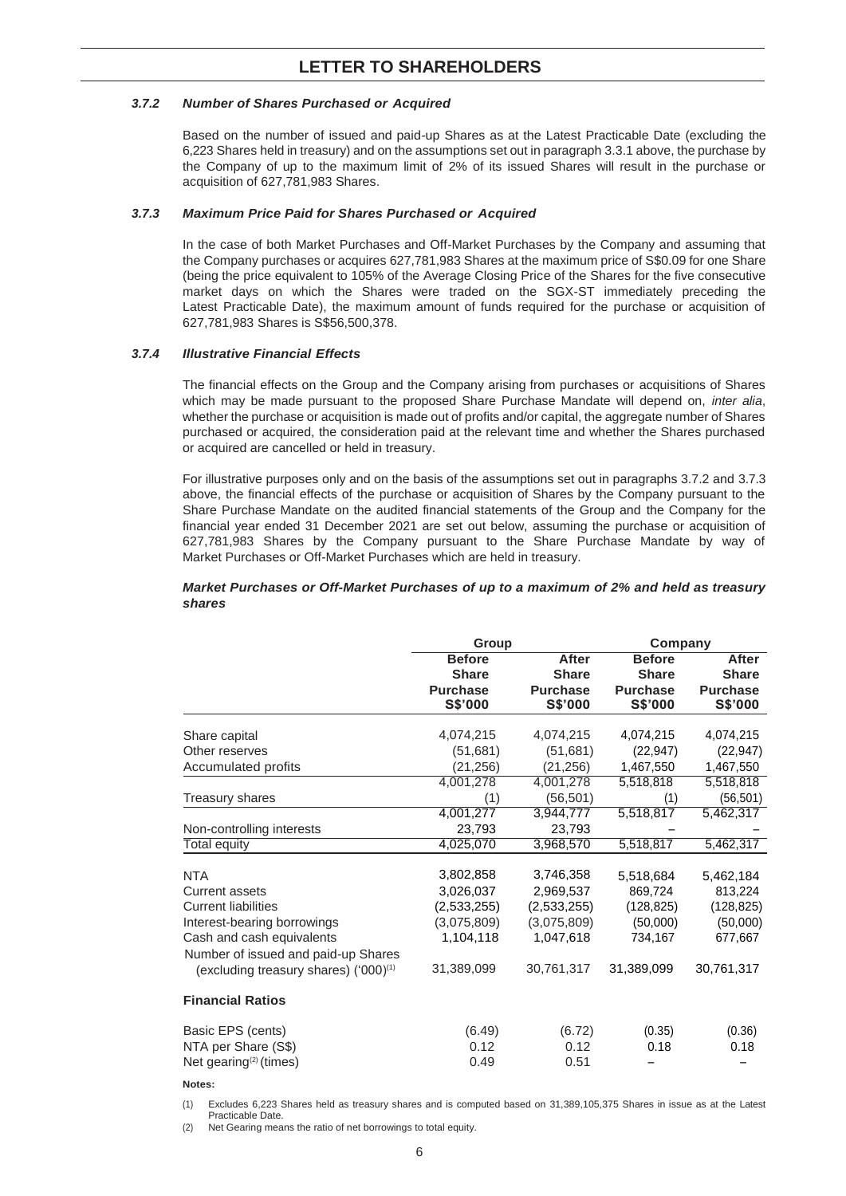## *3.7.2 Number of Shares Purchased or Acquired*

Based on the number of issued and paid-up Shares as at the Latest Practicable Date (excluding the 6,223 Shares held in treasury) and on the assumptions set out in paragraph 3.3.1 above, the purchase by the Company of up to the maximum limit of 2% of its issued Shares will result in the purchase or acquisition of 627,781,983 Shares.

## *3.7.3 Maximum Price Paid for Shares Purchased or Acquired*

In the case of both Market Purchases and Off-Market Purchases by the Company and assuming that the Company purchases or acquires 627,781,983 Shares at the maximum price of S\$0.09 for one Share (being the price equivalent to 105% of the Average Closing Price of the Shares for the five consecutive market days on which the Shares were traded on the SGX-ST immediately preceding the Latest Practicable Date), the maximum amount of funds required for the purchase or acquisition of 627,781,983 Shares is S\$56,500,378.

## *3.7.4 Illustrative Financial Effects*

The financial effects on the Group and the Company arising from purchases or acquisitions of Shares which may be made pursuant to the proposed Share Purchase Mandate will depend on, *inter alia*, whether the purchase or acquisition is made out of profits and/or capital, the aggregate number of Shares purchased or acquired, the consideration paid at the relevant time and whether the Shares purchased or acquired are cancelled or held in treasury.

For illustrative purposes only and on the basis of the assumptions set out in paragraphs 3.7.2 and 3.7.3 above, the financial effects of the purchase or acquisition of Shares by the Company pursuant to the Share Purchase Mandate on the audited financial statements of the Group and the Company for the financial year ended 31 December 2021 are set out below, assuming the purchase or acquisition of 627,781,983 Shares by the Company pursuant to the Share Purchase Mandate by way of Market Purchases or Off-Market Purchases which are held in treasury.

## *Market Purchases or Off-Market Purchases of up to a maximum of 2% and held as treasury shares*

|                                                   | Group                         |                                   | Company                           |                                   |
|---------------------------------------------------|-------------------------------|-----------------------------------|-----------------------------------|-----------------------------------|
|                                                   | <b>Before</b><br><b>Share</b> | After<br><b>Share</b>             | <b>Before</b><br><b>Share</b>     | <b>After</b><br><b>Share</b>      |
|                                                   | <b>Purchase</b><br>S\$'000    | <b>Purchase</b><br><b>S\$'000</b> | <b>Purchase</b><br><b>S\$'000</b> | <b>Purchase</b><br><b>S\$'000</b> |
| Share capital                                     | 4,074,215                     | 4,074,215                         | 4,074,215                         | 4,074,215                         |
| Other reserves                                    | (51,681)                      | (51,681)                          | (22, 947)                         | (22, 947)                         |
| Accumulated profits                               | (21, 256)                     | (21, 256)                         | 1,467,550                         | 1,467,550                         |
|                                                   | 4,001,278                     | 4,001,278                         | 5,518,818                         | 5,518,818                         |
| <b>Treasury shares</b>                            | (1)                           | (56, 501)                         | (1)                               | (56, 501)                         |
|                                                   | 4,001,277                     | 3,944,777                         | 5,518,817                         | 5,462,317                         |
| Non-controlling interests                         | 23,793                        | 23,793                            |                                   |                                   |
| Total equity                                      | 4,025,070                     | 3,968,570                         | 5,518,817                         | 5,462,317                         |
|                                                   |                               |                                   |                                   |                                   |
| <b>NTA</b>                                        | 3,802,858                     | 3,746,358                         | 5,518,684                         | 5,462,184                         |
| <b>Current assets</b>                             | 3,026,037                     | 2,969,537                         | 869,724                           | 813,224                           |
| <b>Current liabilities</b>                        | (2,533,255)                   | (2,533,255)                       | (128, 825)                        | (128, 825)                        |
| Interest-bearing borrowings                       | (3,075,809)                   | (3,075,809)                       | (50,000)                          | (50,000)                          |
| Cash and cash equivalents                         | 1,104,118                     | 1,047,618                         | 734,167                           | 677,667                           |
| Number of issued and paid-up Shares               |                               |                                   |                                   |                                   |
| (excluding treasury shares) ('000) <sup>(1)</sup> | 31,389,099                    | 30,761,317                        | 31,389,099                        | 30,761,317                        |
| <b>Financial Ratios</b>                           |                               |                                   |                                   |                                   |
| Basic EPS (cents)                                 | (6.49)                        | (6.72)                            | (0.35)                            | (0.36)                            |
| NTA per Share (S\$)                               | 0.12                          | 0.12                              | 0.18                              | 0.18                              |
| Net gearing <sup>(2)</sup> (times)                | 0.49                          | 0.51                              |                                   |                                   |
|                                                   |                               |                                   |                                   |                                   |

#### **Notes:**

(1) Excludes 6,223 Shares held as treasury shares and is computed based on 31,389,105,375 Shares in issue as at the Latest Practicable Date.

Net Gearing means the ratio of net borrowings to total equity.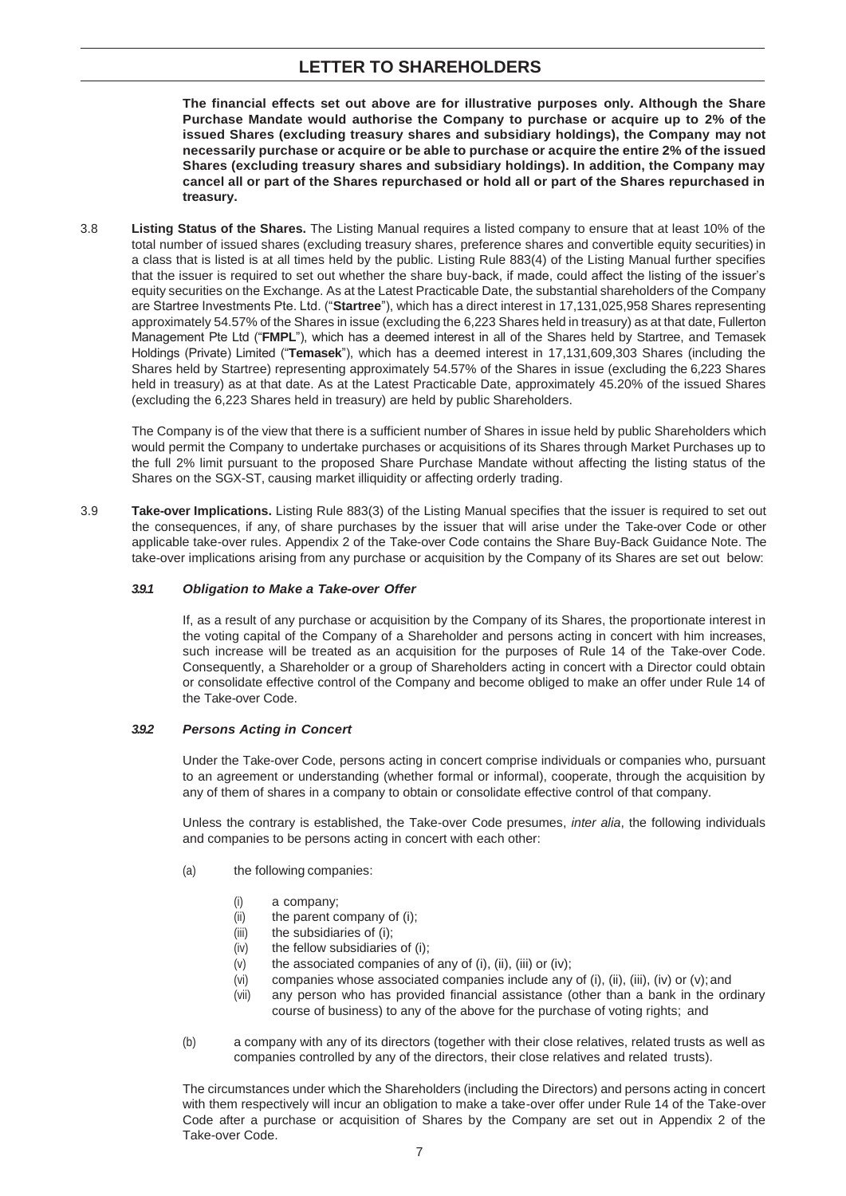**The financial effects set out above are for illustrative purposes only. Although the Share Purchase Mandate would authorise the Company to purchase or acquire up to 2% of the issued Shares (excluding treasury shares and subsidiary holdings), the Company may not necessarily purchase or acquire or be able to purchase or acquire the entire 2% of the issued Shares (excluding treasury shares and subsidiary holdings). In addition, the Company may cancel all or part of the Shares repurchased or hold all or part of the Shares repurchased in treasury.**

3.8 **Listing Status of the Shares.** The Listing Manual requires a listed company to ensure that at least 10% of the total number of issued shares (excluding treasury shares, preference shares and convertible equity securities) in a class that is listed is at all times held by the public. Listing Rule 883(4) of the Listing Manual further specifies that the issuer is required to set out whether the share buy-back, if made, could affect the listing of the issuer's equity securities on the Exchange. As at the Latest Practicable Date, the substantial shareholders of the Company are Startree Investments Pte. Ltd. ("**Startree**"), which has a direct interest in 17,131,025,958 Shares representing approximately 54.57% of the Shares in issue (excluding the 6,223 Shares held in treasury) as at that date, Fullerton Management Pte Ltd ("**FMPL**"), which has a deemed interest in all of the Shares held by Startree, and Temasek Holdings (Private) Limited ("**Temasek**"), which has a deemed interest in 17,131,609,303 Shares (including the Shares held by Startree) representing approximately 54.57% of the Shares in issue (excluding the 6,223 Shares held in treasury) as at that date. As at the Latest Practicable Date, approximately 45.20% of the issued Shares (excluding the 6,223 Shares held in treasury) are held by public Shareholders.

The Company is of the view that there is a sufficient number of Shares in issue held by public Shareholders which would permit the Company to undertake purchases or acquisitions of its Shares through Market Purchases up to the full 2% limit pursuant to the proposed Share Purchase Mandate without affecting the listing status of the Shares on the SGX-ST, causing market illiquidity or affecting orderly trading.

3.9 **Take-over Implications.** Listing Rule 883(3) of the Listing Manual specifies that the issuer is required to set out the consequences, if any, of share purchases by the issuer that will arise under the Take-over Code or other applicable take-over rules. Appendix 2 of the Take-over Code contains the Share Buy-Back Guidance Note. The take-over implications arising from any purchase or acquisition by the Company of its Shares are set out below:

## *3.9.1 Obligation to Make a Take-over Offer*

If, as a result of any purchase or acquisition by the Company of its Shares, the proportionate interest in the voting capital of the Company of a Shareholder and persons acting in concert with him increases, such increase will be treated as an acquisition for the purposes of Rule 14 of the Take-over Code. Consequently, a Shareholder or a group of Shareholders acting in concert with a Director could obtain or consolidate effective control of the Company and become obliged to make an offer under Rule 14 of the Take-over Code.

#### *3.9.2 Persons Acting in Concert*

Under the Take-over Code, persons acting in concert comprise individuals or companies who, pursuant to an agreement or understanding (whether formal or informal), cooperate, through the acquisition by any of them of shares in a company to obtain or consolidate effective control of that company.

Unless the contrary is established, the Take-over Code presumes, *inter alia*, the following individuals and companies to be persons acting in concert with each other:

- (a) the following companies:
	- (i) a company;
	- (ii) the parent company of (i);
	- (iii) the subsidiaries of (i);
	- (iv) the fellow subsidiaries of (i);
	- $(v)$  the associated companies of any of  $(i)$ ,  $(ii)$ ,  $(iii)$  or  $(iv)$ ;
	- (vi) companies whose associated companies include any of (i), (ii), (iii), (iv) or  $(v)$ ; and
	- (vii) any person who has provided financial assistance (other than a bank in the ordinary course of business) to any of the above for the purchase of voting rights; and
- (b) a company with any of its directors (together with their close relatives, related trusts as well as companies controlled by any of the directors, their close relatives and related trusts).

The circumstances under which the Shareholders (including the Directors) and persons acting in concert with them respectively will incur an obligation to make a take-over offer under Rule 14 of the Take-over Code after a purchase or acquisition of Shares by the Company are set out in Appendix 2 of the Take-over Code.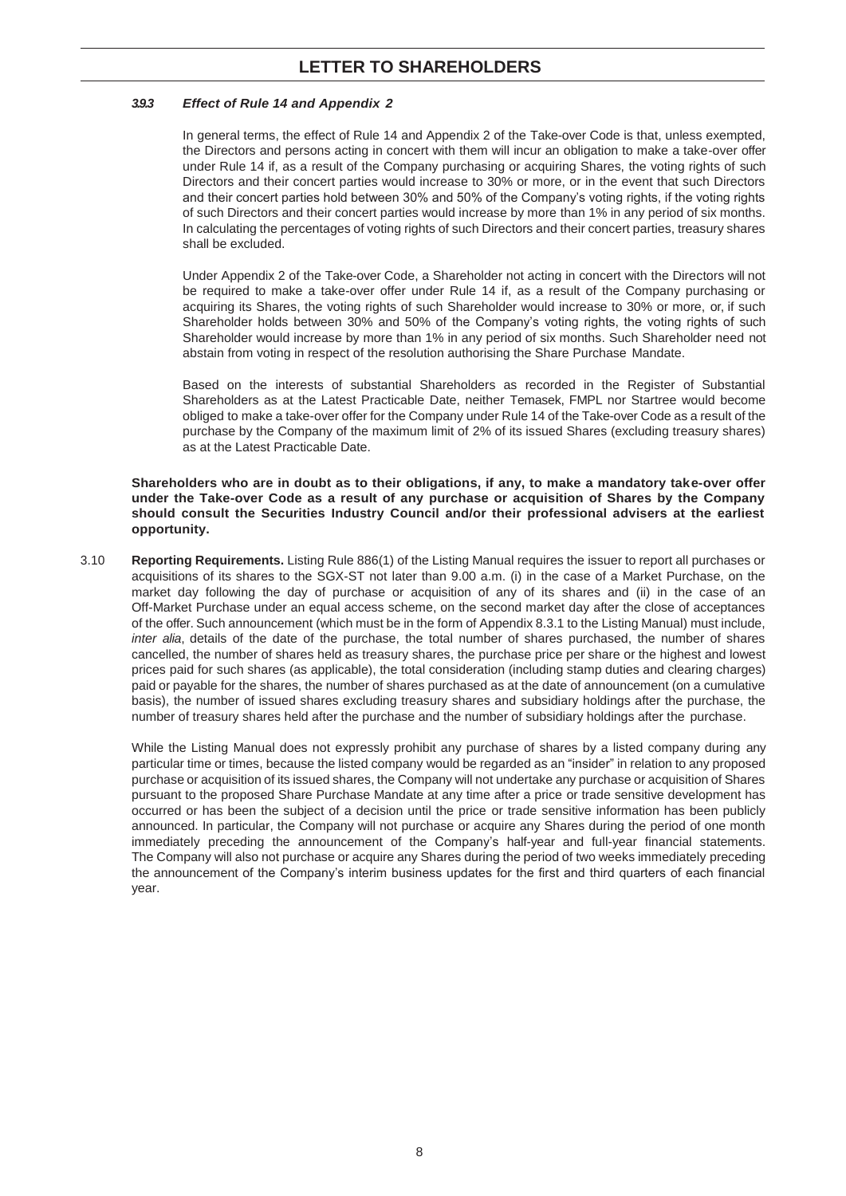## *3.9.3 Effect of Rule 14 and Appendix 2*

In general terms, the effect of Rule 14 and Appendix 2 of the Take-over Code is that, unless exempted, the Directors and persons acting in concert with them will incur an obligation to make a take-over offer under Rule 14 if, as a result of the Company purchasing or acquiring Shares, the voting rights of such Directors and their concert parties would increase to 30% or more, or in the event that such Directors and their concert parties hold between 30% and 50% of the Company's voting rights, if the voting rights of such Directors and their concert parties would increase by more than 1% in any period of six months. In calculating the percentages of voting rights of such Directors and their concert parties, treasury shares shall be excluded.

Under Appendix 2 of the Take-over Code, a Shareholder not acting in concert with the Directors will not be required to make a take-over offer under Rule 14 if, as a result of the Company purchasing or acquiring its Shares, the voting rights of such Shareholder would increase to 30% or more, or, if such Shareholder holds between 30% and 50% of the Company's voting rights, the voting rights of such Shareholder would increase by more than 1% in any period of six months. Such Shareholder need not abstain from voting in respect of the resolution authorising the Share Purchase Mandate.

Based on the interests of substantial Shareholders as recorded in the Register of Substantial Shareholders as at the Latest Practicable Date, neither Temasek, FMPL nor Startree would become obliged to make a take-over offer for the Company under Rule 14 of the Take-over Code as a result of the purchase by the Company of the maximum limit of 2% of its issued Shares (excluding treasury shares) as at the Latest Practicable Date.

**Shareholders who are in doubt as to their obligations, if any, to make a mandatory take-over offer under the Take-over Code as a result of any purchase or acquisition of Shares by the Company should consult the Securities Industry Council and/or their professional advisers at the earliest opportunity.**

3.10 **Reporting Requirements.** Listing Rule 886(1) of the Listing Manual requires the issuer to report all purchases or acquisitions of its shares to the SGX-ST not later than 9.00 a.m. (i) in the case of a Market Purchase, on the market day following the day of purchase or acquisition of any of its shares and (ii) in the case of an Off-Market Purchase under an equal access scheme, on the second market day after the close of acceptances of the offer. Such announcement (which must be in the form of Appendix 8.3.1 to the Listing Manual) must include, *inter alia*, details of the date of the purchase, the total number of shares purchased, the number of shares cancelled, the number of shares held as treasury shares, the purchase price per share or the highest and lowest prices paid for such shares (as applicable), the total consideration (including stamp duties and clearing charges) paid or payable for the shares, the number of shares purchased as at the date of announcement (on a cumulative basis), the number of issued shares excluding treasury shares and subsidiary holdings after the purchase, the number of treasury shares held after the purchase and the number of subsidiary holdings after the purchase.

While the Listing Manual does not expressly prohibit any purchase of shares by a listed company during any particular time or times, because the listed company would be regarded as an "insider" in relation to any proposed purchase or acquisition of its issued shares, the Company will not undertake any purchase or acquisition of Shares pursuant to the proposed Share Purchase Mandate at any time after a price or trade sensitive development has occurred or has been the subject of a decision until the price or trade sensitive information has been publicly announced. In particular, the Company will not purchase or acquire any Shares during the period of one month immediately preceding the announcement of the Company's half-year and full-year financial statements. The Company will also not purchase or acquire any Shares during the period of two weeks immediately preceding the announcement of the Company's interim business updates for the first and third quarters of each financial year.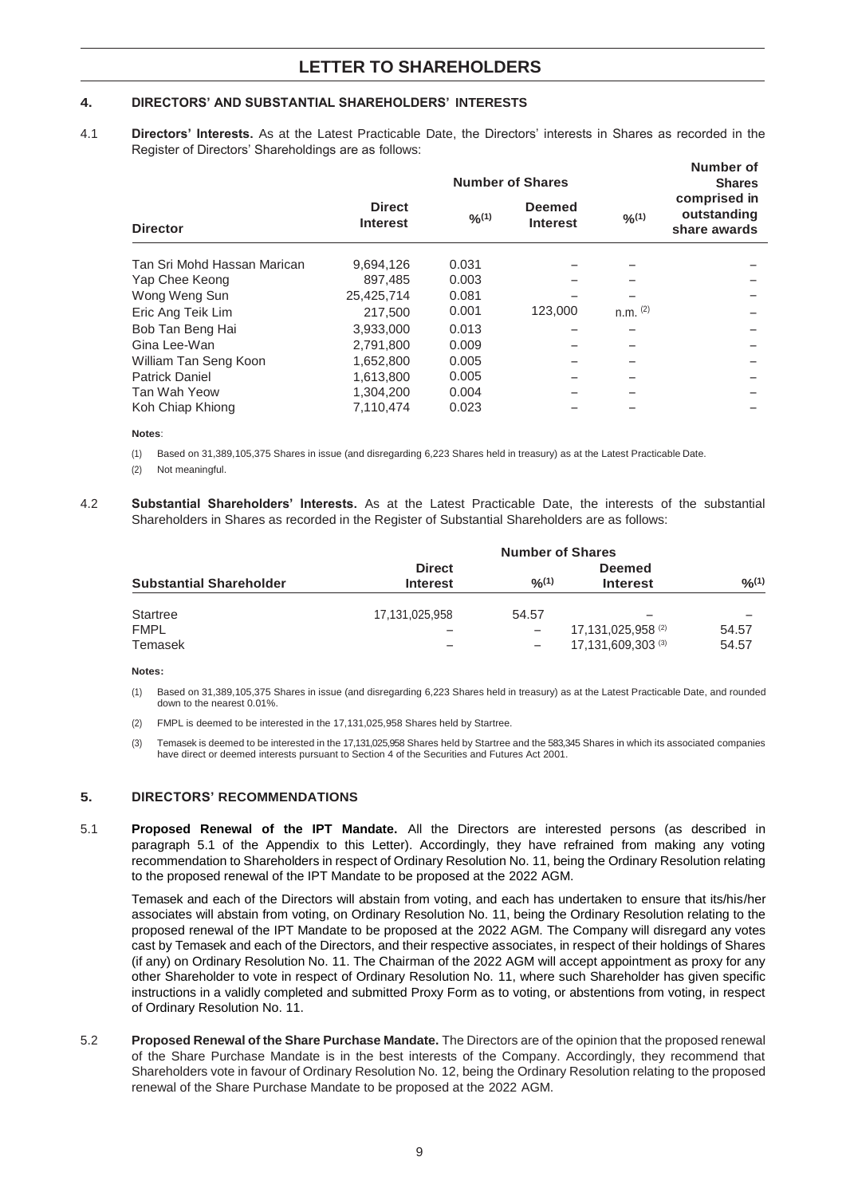## **4. DIRECTORS' AND SUBSTANTIAL SHAREHOLDERS' INTERESTS**

4.1 **Directors' Interests.** As at the Latest Practicable Date, the Directors' interests in Shares as recorded in the Register of Directors' Shareholdings are as follows:

| <b>Number of Shares</b>          |        |                                  |            | Number of<br><b>Shares</b>                  |
|----------------------------------|--------|----------------------------------|------------|---------------------------------------------|
| <b>Direct</b><br><b>Interest</b> | 9/6(1) | <b>Deemed</b><br><b>Interest</b> | 0/0(1)     | comprised in<br>outstanding<br>share awards |
| 9,694,126                        | 0.031  |                                  |            |                                             |
| 897,485                          | 0.003  |                                  |            |                                             |
| 25,425,714                       | 0.081  |                                  |            |                                             |
| 217,500                          | 0.001  | 123,000                          | $n.m.$ (2) |                                             |
| 3,933,000                        | 0.013  |                                  |            |                                             |
| 2,791,800                        | 0.009  |                                  |            |                                             |
| 1,652,800                        | 0.005  |                                  |            |                                             |
| 1.613.800                        | 0.005  |                                  |            |                                             |
| 1,304,200                        | 0.004  |                                  |            |                                             |
| 7,110,474                        | 0.023  |                                  |            |                                             |
|                                  |        |                                  |            |                                             |

#### **Notes**:

- (1) Based on 31,389,105,375 Shares in issue (and disregarding 6,223 Shares held in treasury) as at the Latest Practicable Date.
- (2) Not meaningful.
- 4.2 **Substantial Shareholders' Interests.** As at the Latest Practicable Date, the interests of the substantial Shareholders in Shares as recorded in the Register of Substantial Shareholders are as follows:

| <b>Substantial Shareholder</b> | <b>Number of Shares</b>          |        |                                                     |                |  |
|--------------------------------|----------------------------------|--------|-----------------------------------------------------|----------------|--|
|                                | <b>Direct</b><br><b>Interest</b> | 9/2(1) | <b>Deemed</b><br><b>Interest</b>                    | 9/0(1)         |  |
| Startree                       | 17,131,025,958                   | 54.57  |                                                     |                |  |
| <b>FMPL</b><br>Temasek         |                                  |        | 17,131,025,958 <sup>(2)</sup><br>17,131,609,303 (3) | 54.57<br>54.57 |  |

**Notes:**

- (1) Based on 31,389,105,375 Shares in issue (and disregarding 6,223 Shares held in treasury) as at the Latest Practicable Date, and rounded down to the nearest 0.01%.
- (2) FMPL is deemed to be interested in the 17,131,025,958 Shares held by Startree.
- (3) Temasek is deemed to be interested in the 17,131,025,958 Shares held by Startree and the 583,345 Shares in which its associated companies have direct or deemed interests pursuant to Section 4 of the Securities and Futures Act 2001.

#### **5. DIRECTORS' RECOMMENDATIONS**

5.1 **Proposed Renewal of the IPT Mandate.** All the Directors are interested persons (as described in paragraph 5.1 of the Appendix to this Letter). Accordingly, they have refrained from making any voting recommendation to Shareholders in respect of Ordinary Resolution No. 11, being the Ordinary Resolution relating to the proposed renewal of the IPT Mandate to be proposed at the 2022 AGM.

Temasek and each of the Directors will abstain from voting, and each has undertaken to ensure that its/his/her associates will abstain from voting, on Ordinary Resolution No. 11, being the Ordinary Resolution relating to the proposed renewal of the IPT Mandate to be proposed at the 2022 AGM. The Company will disregard any votes cast by Temasek and each of the Directors, and their respective associates, in respect of their holdings of Shares (if any) on Ordinary Resolution No. 11. The Chairman of the 2022 AGM will accept appointment as proxy for any other Shareholder to vote in respect of Ordinary Resolution No. 11, where such Shareholder has given specific instructions in a validly completed and submitted Proxy Form as to voting, or abstentions from voting, in respect of Ordinary Resolution No. 11.

5.2 **Proposed Renewal of the Share Purchase Mandate.** The Directors are of the opinion that the proposed renewal of the Share Purchase Mandate is in the best interests of the Company. Accordingly, they recommend that Shareholders vote in favour of Ordinary Resolution No. 12, being the Ordinary Resolution relating to the proposed renewal of the Share Purchase Mandate to be proposed at the 2022 AGM.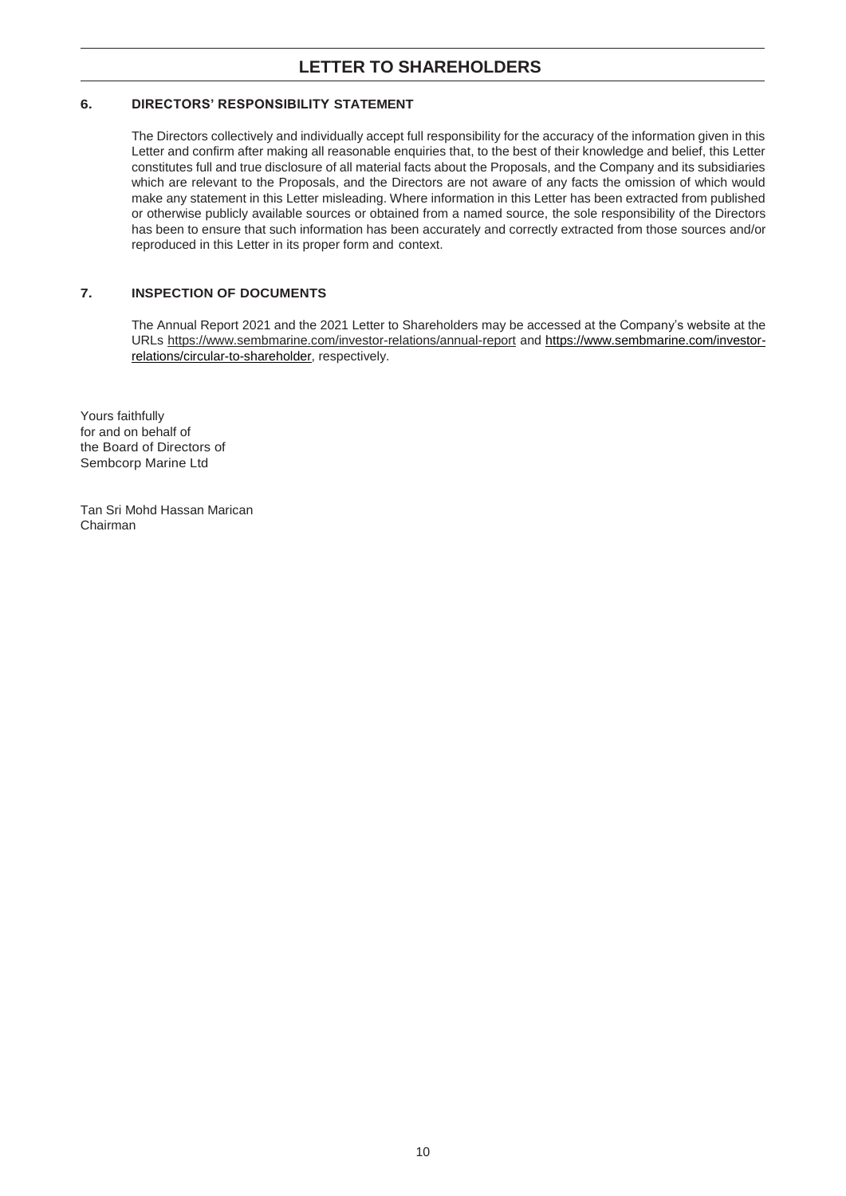## **6. DIRECTORS' RESPONSIBILITY STATEMENT**

The Directors collectively and individually accept full responsibility for the accuracy of the information given in this Letter and confirm after making all reasonable enquiries that, to the best of their knowledge and belief, this Letter constitutes full and true disclosure of all material facts about the Proposals, and the Company and its subsidiaries which are relevant to the Proposals, and the Directors are not aware of any facts the omission of which would make any statement in this Letter misleading. Where information in this Letter has been extracted from published or otherwise publicly available sources or obtained from a named source, the sole responsibility of the Directors has been to ensure that such information has been accurately and correctly extracted from those sources and/or reproduced in this Letter in its proper form and context.

## **7. INSPECTION OF DOCUMENTS**

The Annual Report 2021 and the 2021 Letter to Shareholders may be accessed at the Company's website at the URLs [https://www.sembmarine.com/investor-](http://www.sembmarine.com/investor-relations/annual-report)[relations/annual-re](https://www.sembmarine.com/investor-relations/annual-report)port and [https://www.sembmarine.com/investor](https://www.sembmarine.com/investor-relations/circular-to-shareholder)[relations/circular-to-shareholder,](https://www.sembmarine.com/investor-relations/circular-to-shareholder) respectively.

Yours faithfully for and on behalf of the Board of Directors of Sembcorp Marine Ltd

Tan Sri Mohd Hassan Marican Chairman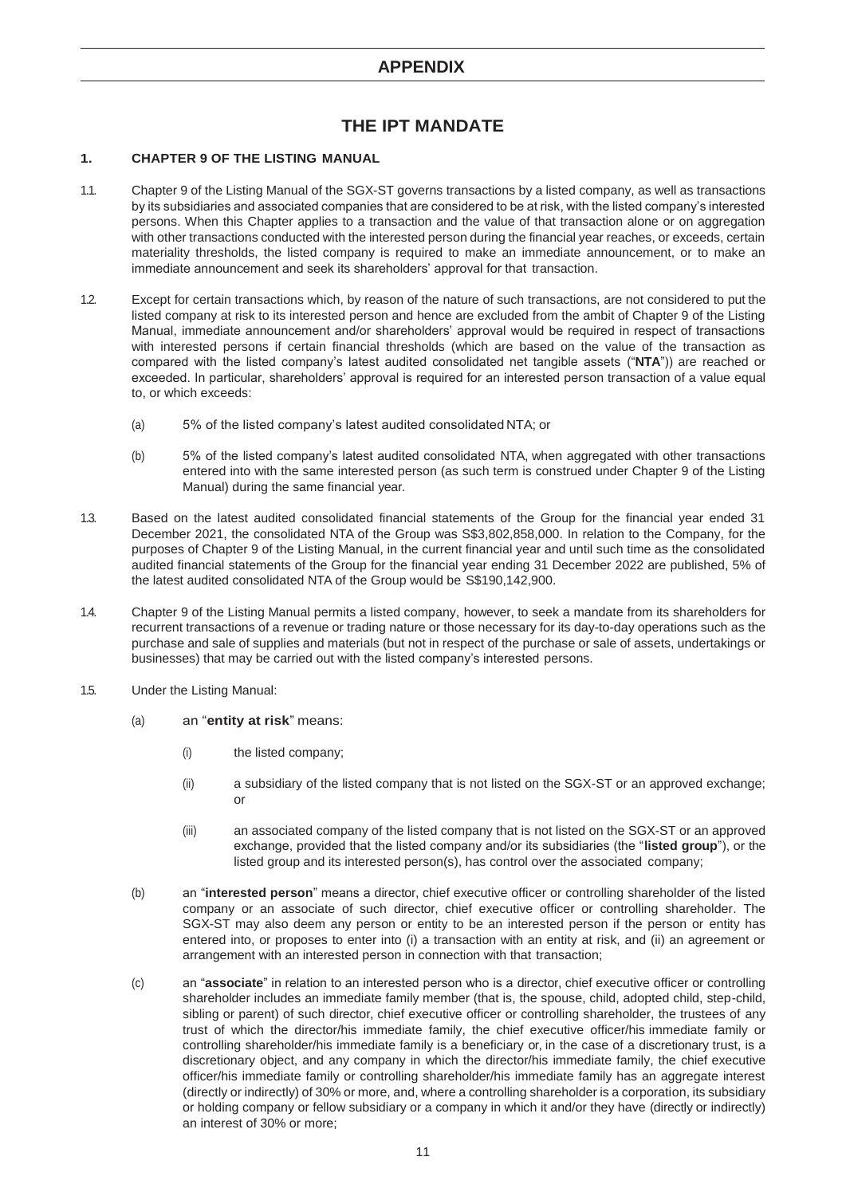# **THE IPT MANDATE**

## **1. CHAPTER 9 OF THE LISTING MANUAL**

- 1.1. Chapter 9 of the Listing Manual of the SGX-ST governs transactions by a listed company, as well as transactions by its subsidiaries and associated companies that are considered to be at risk, with the listed company's interested persons. When this Chapter applies to a transaction and the value of that transaction alone or on aggregation with other transactions conducted with the interested person during the financial year reaches, or exceeds, certain materiality thresholds, the listed company is required to make an immediate announcement, or to make an immediate announcement and seek its shareholders' approval for that transaction.
- 1.2. Except for certain transactions which, by reason of the nature of such transactions, are not considered to put the listed company at risk to its interested person and hence are excluded from the ambit of Chapter 9 of the Listing Manual, immediate announcement and/or shareholders' approval would be required in respect of transactions with interested persons if certain financial thresholds (which are based on the value of the transaction as compared with the listed company's latest audited consolidated net tangible assets ("**NTA**")) are reached or exceeded. In particular, shareholders' approval is required for an interested person transaction of a value equal to, or which exceeds:
	- (a) 5% of the listed company's latest audited consolidated NTA; or
	- (b) 5% of the listed company's latest audited consolidated NTA, when aggregated with other transactions entered into with the same interested person (as such term is construed under Chapter 9 of the Listing Manual) during the same financial year.
- 1.3. Based on the latest audited consolidated financial statements of the Group for the financial year ended 31 December 2021, the consolidated NTA of the Group was S\$3,802,858,000. In relation to the Company, for the purposes of Chapter 9 of the Listing Manual, in the current financial year and until such time as the consolidated audited financial statements of the Group for the financial year ending 31 December 2022 are published, 5% of the latest audited consolidated NTA of the Group would be S\$190,142,900.
- 1.4. Chapter 9 of the Listing Manual permits a listed company, however, to seek a mandate from its shareholders for recurrent transactions of a revenue or trading nature or those necessary for its day-to-day operations such as the purchase and sale of supplies and materials (but not in respect of the purchase or sale of assets, undertakings or businesses) that may be carried out with the listed company's interested persons.
- 1.5. Under the Listing Manual:
	- (a) an "**entity at risk**" means:
		- (i) the listed company;
		- (ii) a subsidiary of the listed company that is not listed on the SGX-ST or an approved exchange; or
		- (iii) an associated company of the listed company that is not listed on the SGX-ST or an approved exchange, provided that the listed company and/or its subsidiaries (the "**listed group**"), or the listed group and its interested person(s), has control over the associated company;
	- (b) an "**interested person**" means a director, chief executive officer or controlling shareholder of the listed company or an associate of such director, chief executive officer or controlling shareholder. The SGX-ST may also deem any person or entity to be an interested person if the person or entity has entered into, or proposes to enter into (i) a transaction with an entity at risk, and (ii) an agreement or arrangement with an interested person in connection with that transaction;
	- (c) an "**associate**" in relation to an interested person who is a director, chief executive officer or controlling shareholder includes an immediate family member (that is, the spouse, child, adopted child, step-child, sibling or parent) of such director, chief executive officer or controlling shareholder, the trustees of any trust of which the director/his immediate family, the chief executive officer/his immediate family or controlling shareholder/his immediate family is a beneficiary or, in the case of a discretionary trust, is a discretionary object, and any company in which the director/his immediate family, the chief executive officer/his immediate family or controlling shareholder/his immediate family has an aggregate interest (directly or indirectly) of 30% or more, and, where a controlling shareholder is a corporation, its subsidiary or holding company or fellow subsidiary or a company in which it and/or they have (directly or indirectly) an interest of 30% or more;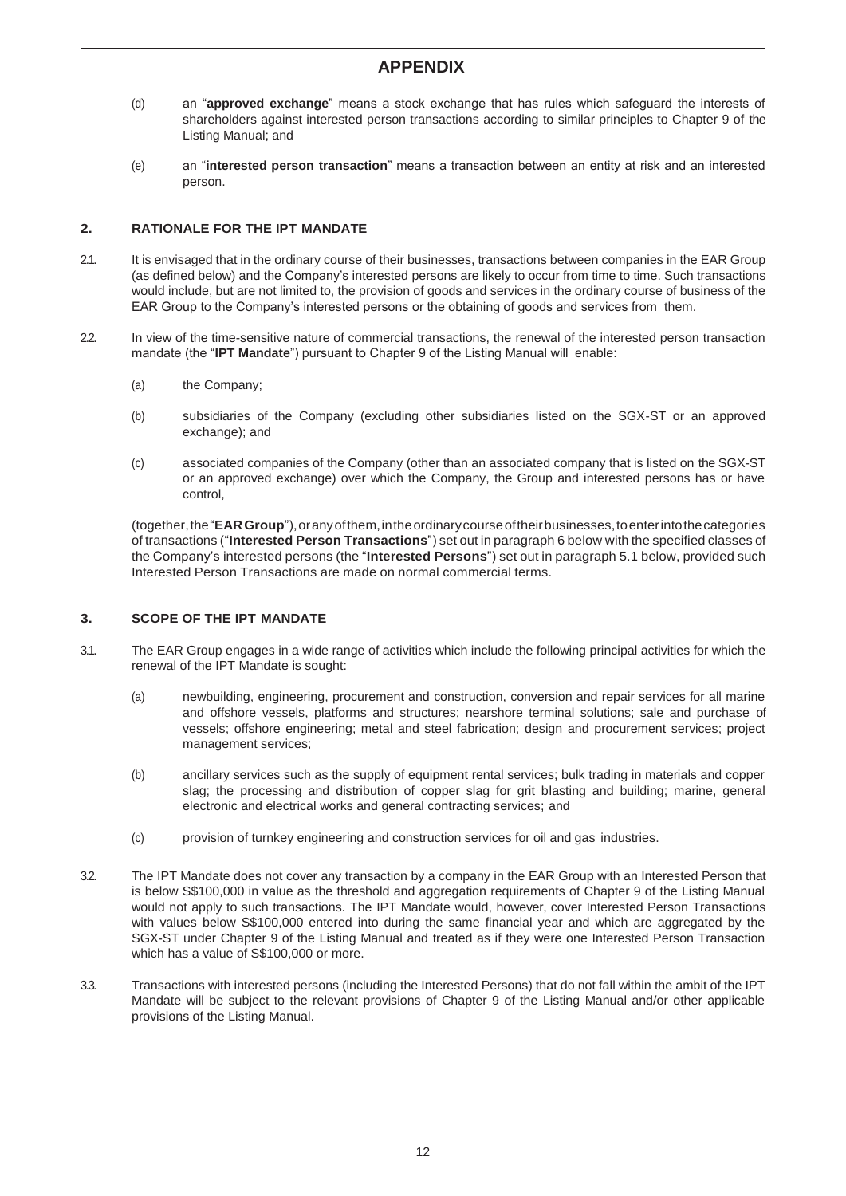- (d) an "**approved exchange**" means a stock exchange that has rules which safeguard the interests of shareholders against interested person transactions according to similar principles to Chapter 9 of the Listing Manual; and
- (e) an "**interested person transaction**" means a transaction between an entity at risk and an interested person.

## **2. RATIONALE FOR THE IPT MANDATE**

- 2.1. It is envisaged that in the ordinary course of their businesses, transactions between companies in the EAR Group (as defined below) and the Company's interested persons are likely to occur from time to time. Such transactions would include, but are not limited to, the provision of goods and services in the ordinary course of business of the EAR Group to the Company's interested persons or the obtaining of goods and services from them.
- 2.2. In view of the time-sensitive nature of commercial transactions, the renewal of the interested person transaction mandate (the "**IPT Mandate**") pursuant to Chapter 9 of the Listing Manual will enable:
	- (a) the Company;
	- (b) subsidiaries of the Company (excluding other subsidiaries listed on the SGX-ST or an approved exchange); and
	- (c) associated companies of the Company (other than an associated company that is listed on the SGX-ST or an approved exchange) over which the Company, the Group and interested persons has or have control,

(together,the"**EARGroup**"),oranyofthem,intheordinarycourseoftheirbusinesses,toenterintothecategories of transactions ("**Interested Person Transactions**") set out in paragraph 6 below with the specified classes of the Company's interested persons (the "**Interested Persons**") set out in paragraph 5.1 below, provided such Interested Person Transactions are made on normal commercial terms.

## **3. SCOPE OF THE IPT MANDATE**

- 3.1. The EAR Group engages in a wide range of activities which include the following principal activities for which the renewal of the IPT Mandate is sought:
	- (a) newbuilding, engineering, procurement and construction, conversion and repair services for all marine and offshore vessels, platforms and structures; nearshore terminal solutions; sale and purchase of vessels; offshore engineering; metal and steel fabrication; design and procurement services; project management services;
	- (b) ancillary services such as the supply of equipment rental services; bulk trading in materials and copper slag; the processing and distribution of copper slag for grit blasting and building; marine, general electronic and electrical works and general contracting services; and
	- (c) provision of turnkey engineering and construction services for oil and gas industries.
- 3.2. The IPT Mandate does not cover any transaction by a company in the EAR Group with an Interested Person that is below S\$100,000 in value as the threshold and aggregation requirements of Chapter 9 of the Listing Manual would not apply to such transactions. The IPT Mandate would, however, cover Interested Person Transactions with values below S\$100,000 entered into during the same financial year and which are aggregated by the SGX-ST under Chapter 9 of the Listing Manual and treated as if they were one Interested Person Transaction which has a value of S\$100,000 or more.
- 3.3. Transactions with interested persons (including the Interested Persons) that do not fall within the ambit of the IPT Mandate will be subject to the relevant provisions of Chapter 9 of the Listing Manual and/or other applicable provisions of the Listing Manual.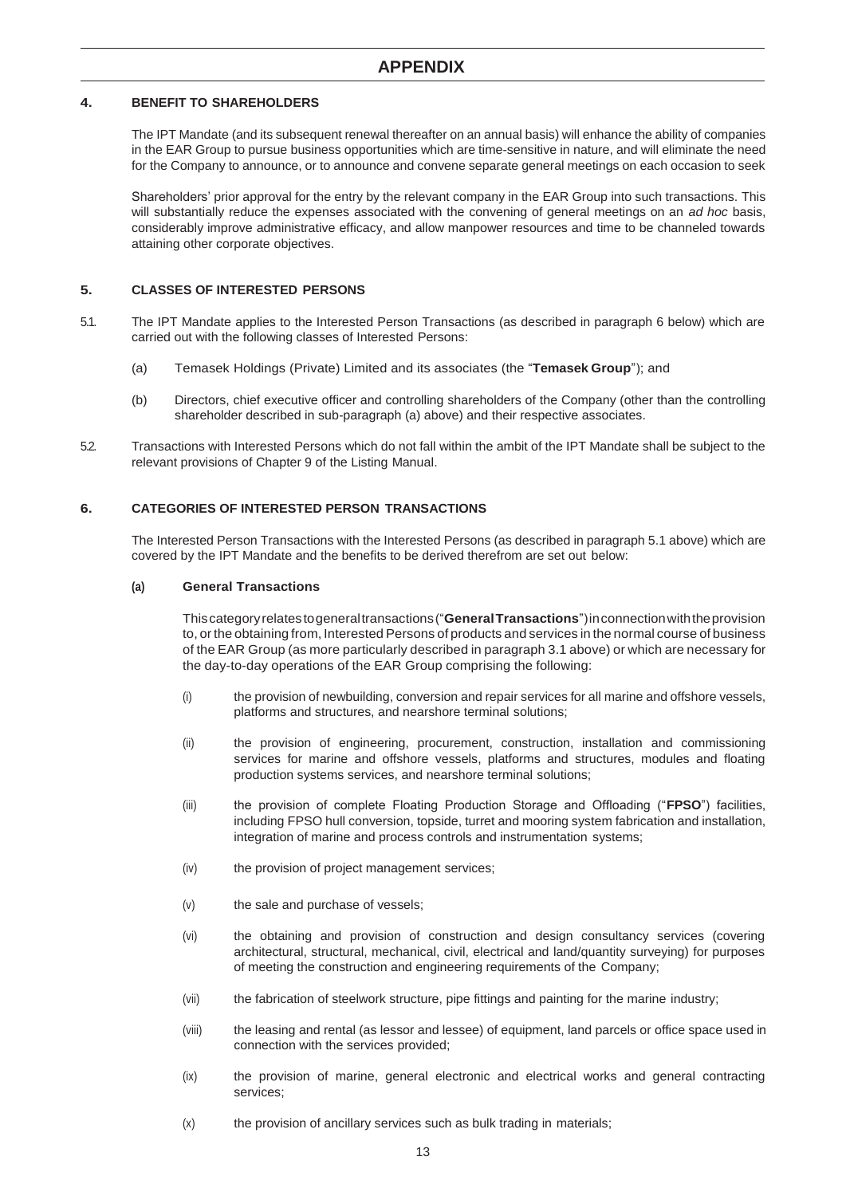## **4. BENEFIT TO SHAREHOLDERS**

The IPT Mandate (and its subsequent renewal thereafter on an annual basis) will enhance the ability of companies in the EAR Group to pursue business opportunities which are time-sensitive in nature, and will eliminate the need for the Company to announce, or to announce and convene separate general meetings on each occasion to seek

Shareholders' prior approval for the entry by the relevant company in the EAR Group into such transactions. This will substantially reduce the expenses associated with the convening of general meetings on an *ad hoc* basis, considerably improve administrative efficacy, and allow manpower resources and time to be channeled towards attaining other corporate objectives.

## **5. CLASSES OF INTERESTED PERSONS**

- 5.1. The IPT Mandate applies to the Interested Person Transactions (as described in paragraph 6 below) which are carried out with the following classes of Interested Persons:
	- (a) Temasek Holdings (Private) Limited and its associates (the "**Temasek Group**"); and
	- (b) Directors, chief executive officer and controlling shareholders of the Company (other than the controlling shareholder described in sub-paragraph (a) above) and their respective associates.
- 5.2. Transactions with Interested Persons which do not fall within the ambit of the IPT Mandate shall be subject to the relevant provisions of Chapter 9 of the Listing Manual.

## **6. CATEGORIES OF INTERESTED PERSON TRANSACTIONS**

The Interested Person Transactions with the Interested Persons (as described in paragraph 5.1 above) which are covered by the IPT Mandate and the benefits to be derived therefrom are set out below:

## **(a) General Transactions**

Thiscategoryrelatestogeneraltransactions("**GeneralTransactions**")inconnectionwiththeprovision to, or the obtaining from, Interested Persons of products and services in the normal course of business of the EAR Group (as more particularly described in paragraph 3.1 above) or which are necessary for the day-to-day operations of the EAR Group comprising the following:

- (i) the provision of newbuilding, conversion and repair services for all marine and offshore vessels, platforms and structures, and nearshore terminal solutions;
- (ii) the provision of engineering, procurement, construction, installation and commissioning services for marine and offshore vessels, platforms and structures, modules and floating production systems services, and nearshore terminal solutions;
- (iii) the provision of complete Floating Production Storage and Offloading ("**FPSO**") facilities, including FPSO hull conversion, topside, turret and mooring system fabrication and installation, integration of marine and process controls and instrumentation systems;
- (iv) the provision of project management services;
- (v) the sale and purchase of vessels;
- (vi) the obtaining and provision of construction and design consultancy services (covering architectural, structural, mechanical, civil, electrical and land/quantity surveying) for purposes of meeting the construction and engineering requirements of the Company;
- (vii) the fabrication of steelwork structure, pipe fittings and painting for the marine industry;
- (viii) the leasing and rental (as lessor and lessee) of equipment, land parcels or office space used in connection with the services provided;
- (ix) the provision of marine, general electronic and electrical works and general contracting services;
- (x) the provision of ancillary services such as bulk trading in materials;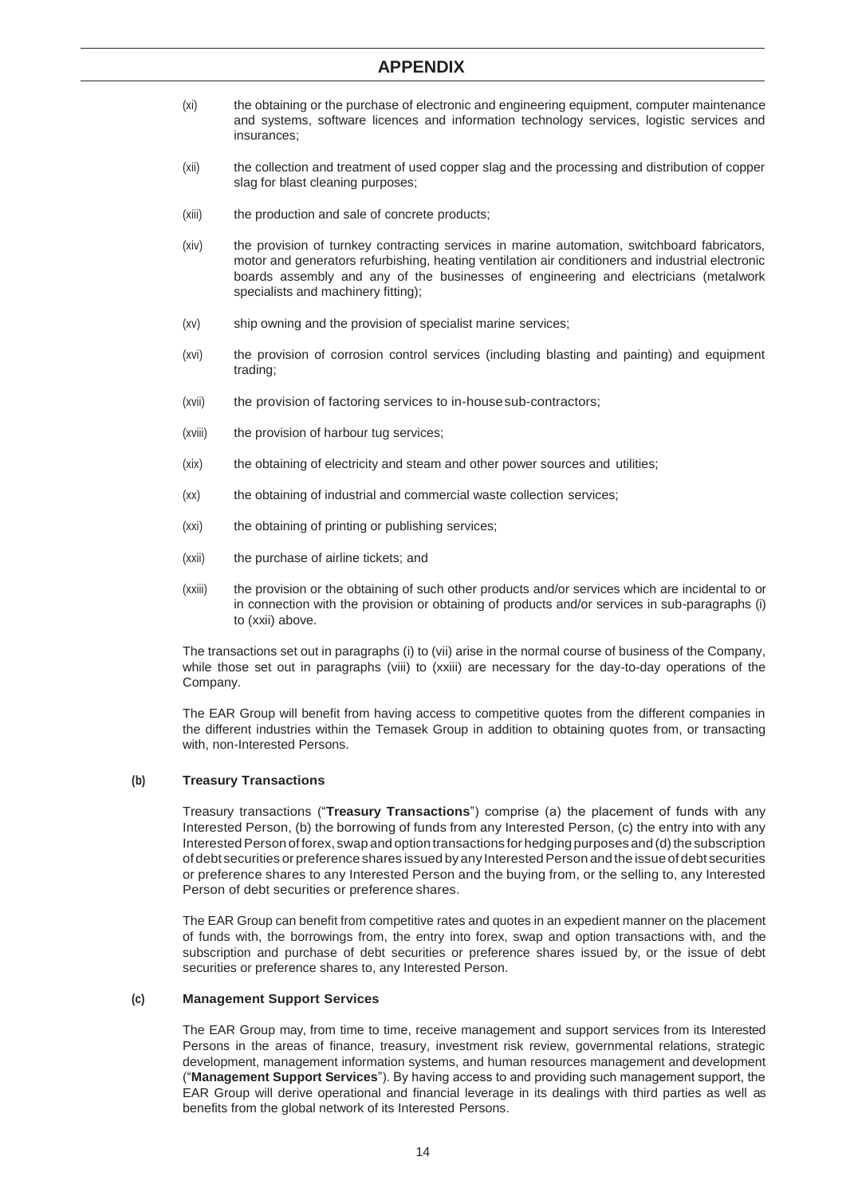- (xi) the obtaining or the purchase of electronic and engineering equipment, computer maintenance and systems, software licences and information technology services, logistic services and insurances;
- (xii) the collection and treatment of used copper slag and the processing and distribution of copper slag for blast cleaning purposes;
- (xiii) the production and sale of concrete products;
- (xiv) the provision of turnkey contracting services in marine automation, switchboard fabricators, motor and generators refurbishing, heating ventilation air conditioners and industrial electronic boards assembly and any of the businesses of engineering and electricians (metalwork specialists and machinery fitting);
- (xv) ship owning and the provision of specialist marine services;
- (xvi) the provision of corrosion control services (including blasting and painting) and equipment trading;
- (xvii) the provision of factoring services to in-housesub-contractors;
- (xviii) the provision of harbour tug services;
- (xix) the obtaining of electricity and steam and other power sources and utilities;
- (xx) the obtaining of industrial and commercial waste collection services;
- (xxi) the obtaining of printing or publishing services;
- (xxii) the purchase of airline tickets; and
- (xxiii) the provision or the obtaining of such other products and/or services which are incidental to or in connection with the provision or obtaining of products and/or services in sub-paragraphs (i) to (xxii) above.

The transactions set out in paragraphs (i) to (vii) arise in the normal course of business of the Company, while those set out in paragraphs (viii) to (xxiii) are necessary for the day-to-day operations of the Company.

The EAR Group will benefit from having access to competitive quotes from the different companies in the different industries within the Temasek Group in addition to obtaining quotes from, or transacting with, non-Interested Persons.

#### **(b) Treasury Transactions**

Treasury transactions ("**Treasury Transactions**") comprise (a) the placement of funds with any Interested Person, (b) the borrowing of funds from any Interested Person, (c) the entry into with any Interested Person of forex, swap and option transactions for hedging purposes and (d) the subscription of debt securities or preference shares issued by any Interested Person and the issue of debt securities or preference shares to any Interested Person and the buying from, or the selling to, any Interested Person of debt securities or preference shares.

The EAR Group can benefit from competitive rates and quotes in an expedient manner on the placement of funds with, the borrowings from, the entry into forex, swap and option transactions with, and the subscription and purchase of debt securities or preference shares issued by, or the issue of debt securities or preference shares to, any Interested Person.

#### **(c) Management Support Services**

The EAR Group may, from time to time, receive management and support services from its Interested Persons in the areas of finance, treasury, investment risk review, governmental relations, strategic development, management information systems, and human resources management and development ("**Management Support Services**"). By having access to and providing such management support, the EAR Group will derive operational and financial leverage in its dealings with third parties as well as benefits from the global network of its Interested Persons.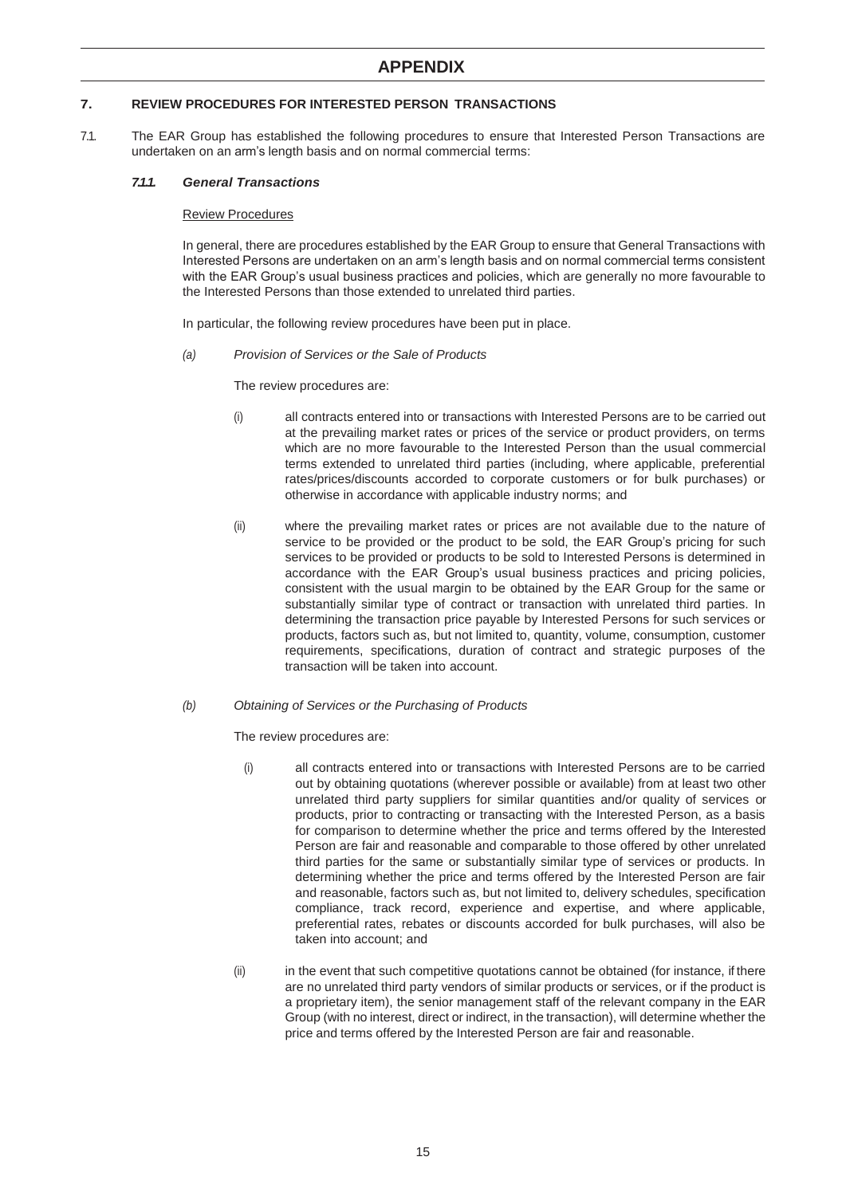## **7. REVIEW PROCEDURES FOR INTERESTED PERSON TRANSACTIONS**

7.1. The EAR Group has established the following procedures to ensure that Interested Person Transactions are undertaken on an arm's length basis and on normal commercial terms:

#### *7.1.1. General Transactions*

#### Review Procedures

In general, there are procedures established by the EAR Group to ensure that General Transactions with Interested Persons are undertaken on an arm's length basis and on normal commercial terms consistent with the EAR Group's usual business practices and policies, which are generally no more favourable to the Interested Persons than those extended to unrelated third parties.

In particular, the following review procedures have been put in place.

*(a) Provision of Services or the Sale of Products*

The review procedures are:

- (i) all contracts entered into or transactions with Interested Persons are to be carried out at the prevailing market rates or prices of the service or product providers, on terms which are no more favourable to the Interested Person than the usual commercial terms extended to unrelated third parties (including, where applicable, preferential rates/prices/discounts accorded to corporate customers or for bulk purchases) or otherwise in accordance with applicable industry norms; and
- (ii) where the prevailing market rates or prices are not available due to the nature of service to be provided or the product to be sold, the EAR Group's pricing for such services to be provided or products to be sold to Interested Persons is determined in accordance with the EAR Group's usual business practices and pricing policies, consistent with the usual margin to be obtained by the EAR Group for the same or substantially similar type of contract or transaction with unrelated third parties. In determining the transaction price payable by Interested Persons for such services or products, factors such as, but not limited to, quantity, volume, consumption, customer requirements, specifications, duration of contract and strategic purposes of the transaction will be taken into account.
- *(b) Obtaining of Services or the Purchasing of Products*

The review procedures are:

- (i) all contracts entered into or transactions with Interested Persons are to be carried out by obtaining quotations (wherever possible or available) from at least two other unrelated third party suppliers for similar quantities and/or quality of services or products, prior to contracting or transacting with the Interested Person, as a basis for comparison to determine whether the price and terms offered by the Interested Person are fair and reasonable and comparable to those offered by other unrelated third parties for the same or substantially similar type of services or products. In determining whether the price and terms offered by the Interested Person are fair and reasonable, factors such as, but not limited to, delivery schedules, specification compliance, track record, experience and expertise, and where applicable, preferential rates, rebates or discounts accorded for bulk purchases, will also be taken into account; and
- (ii) in the event that such competitive quotations cannot be obtained (for instance, if there are no unrelated third party vendors of similar products or services, or if the product is a proprietary item), the senior management staff of the relevant company in the EAR Group (with no interest, direct or indirect, in the transaction), will determine whether the price and terms offered by the Interested Person are fair and reasonable.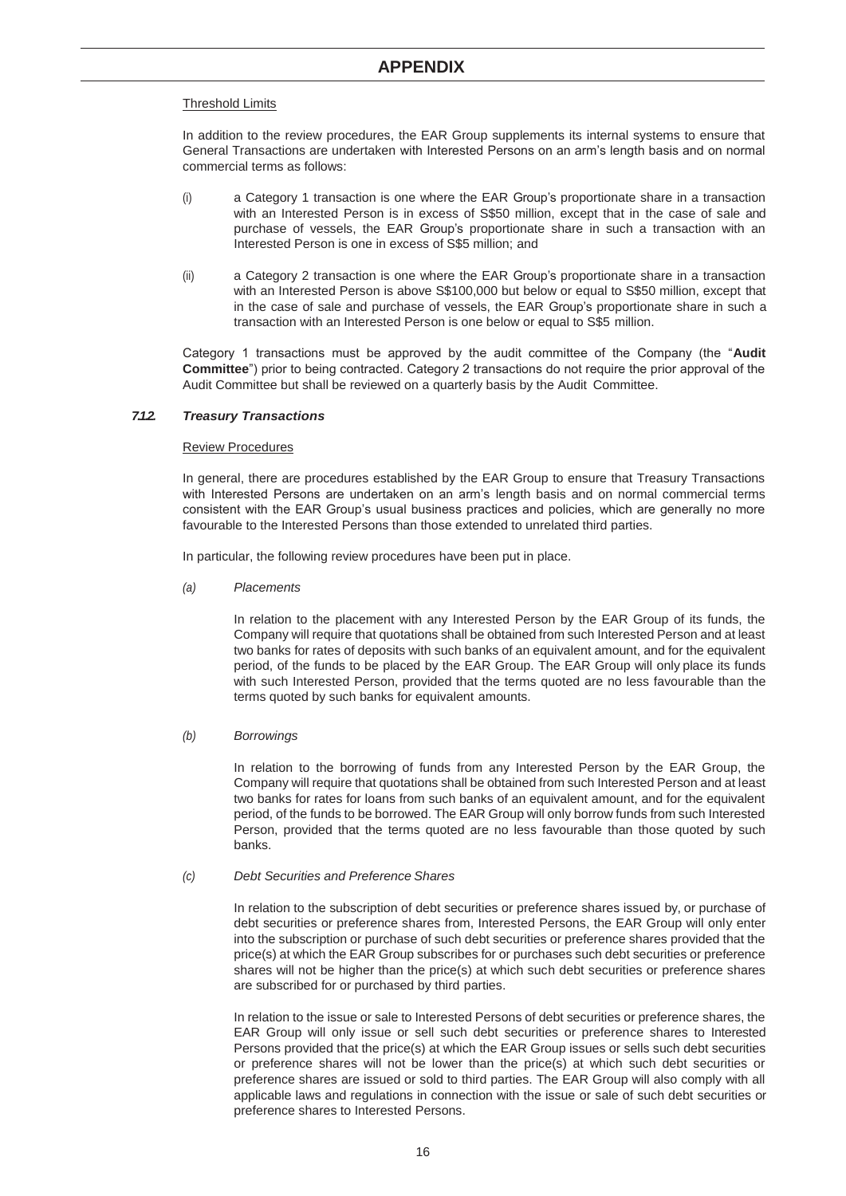## Threshold Limits

In addition to the review procedures, the EAR Group supplements its internal systems to ensure that General Transactions are undertaken with Interested Persons on an arm's length basis and on normal commercial terms as follows:

- (i) a Category 1 transaction is one where the EAR Group's proportionate share in a transaction with an Interested Person is in excess of S\$50 million, except that in the case of sale and purchase of vessels, the EAR Group's proportionate share in such a transaction with an Interested Person is one in excess of S\$5 million; and
- (ii) a Category 2 transaction is one where the EAR Group's proportionate share in a transaction with an Interested Person is above S\$100,000 but below or equal to S\$50 million, except that in the case of sale and purchase of vessels, the EAR Group's proportionate share in such a transaction with an Interested Person is one below or equal to S\$5 million.

Category 1 transactions must be approved by the audit committee of the Company (the "**Audit Committee**") prior to being contracted. Category 2 transactions do not require the prior approval of the Audit Committee but shall be reviewed on a quarterly basis by the Audit Committee.

## *7.1.2. Treasury Transactions*

#### Review Procedures

In general, there are procedures established by the EAR Group to ensure that Treasury Transactions with Interested Persons are undertaken on an arm's length basis and on normal commercial terms consistent with the EAR Group's usual business practices and policies, which are generally no more favourable to the Interested Persons than those extended to unrelated third parties.

In particular, the following review procedures have been put in place.

*(a) Placements*

In relation to the placement with any Interested Person by the EAR Group of its funds, the Company will require that quotations shall be obtained from such Interested Person and at least two banks for rates of deposits with such banks of an equivalent amount, and for the equivalent period, of the funds to be placed by the EAR Group. The EAR Group will only place its funds with such Interested Person, provided that the terms quoted are no less favourable than the terms quoted by such banks for equivalent amounts.

#### *(b) Borrowings*

In relation to the borrowing of funds from any Interested Person by the EAR Group, the Company will require that quotations shall be obtained from such Interested Person and at least two banks for rates for loans from such banks of an equivalent amount, and for the equivalent period, of the funds to be borrowed. The EAR Group will only borrow funds from such Interested Person, provided that the terms quoted are no less favourable than those quoted by such banks.

#### *(c) Debt Securities and Preference Shares*

In relation to the subscription of debt securities or preference shares issued by, or purchase of debt securities or preference shares from, Interested Persons, the EAR Group will only enter into the subscription or purchase of such debt securities or preference shares provided that the price(s) at which the EAR Group subscribes for or purchases such debt securities or preference shares will not be higher than the price(s) at which such debt securities or preference shares are subscribed for or purchased by third parties.

In relation to the issue or sale to Interested Persons of debt securities or preference shares, the EAR Group will only issue or sell such debt securities or preference shares to Interested Persons provided that the price(s) at which the EAR Group issues or sells such debt securities or preference shares will not be lower than the price(s) at which such debt securities or preference shares are issued or sold to third parties. The EAR Group will also comply with all applicable laws and regulations in connection with the issue or sale of such debt securities or preference shares to Interested Persons.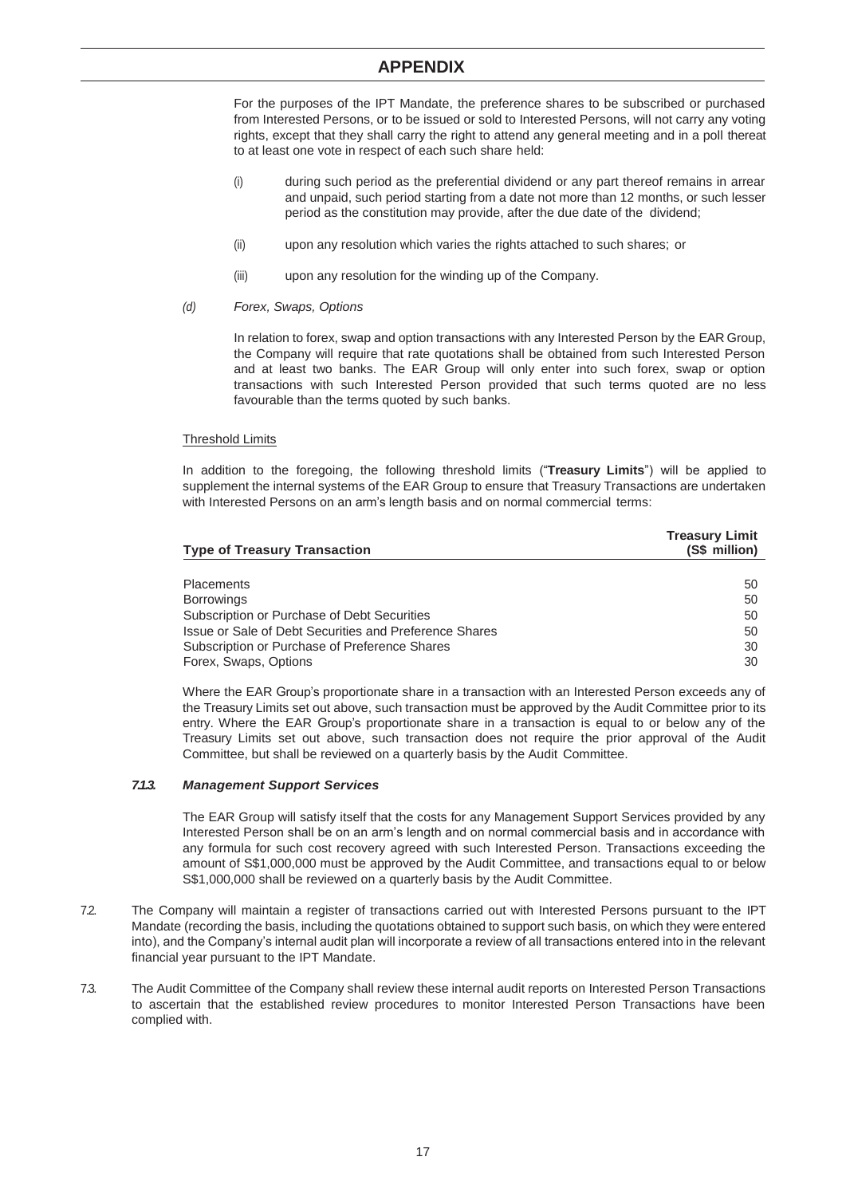# **APPENDIX**

For the purposes of the IPT Mandate, the preference shares to be subscribed or purchased from Interested Persons, or to be issued or sold to Interested Persons, will not carry any voting rights, except that they shall carry the right to attend any general meeting and in a poll thereat to at least one vote in respect of each such share held:

- (i) during such period as the preferential dividend or any part thereof remains in arrear and unpaid, such period starting from a date not more than 12 months, or such lesser period as the constitution may provide, after the due date of the dividend;
- (ii) upon any resolution which varies the rights attached to such shares; or
- (iii) upon any resolution for the winding up of the Company.
- *(d) Forex, Swaps, Options*

In relation to forex, swap and option transactions with any Interested Person by the EAR Group, the Company will require that rate quotations shall be obtained from such Interested Person and at least two banks. The EAR Group will only enter into such forex, swap or option transactions with such Interested Person provided that such terms quoted are no less favourable than the terms quoted by such banks.

#### Threshold Limits

In addition to the foregoing, the following threshold limits ("**Treasury Limits**") will be applied to supplement the internal systems of the EAR Group to ensure that Treasury Transactions are undertaken with Interested Persons on an arm's length basis and on normal commercial terms:

| <b>Type of Treasury Transaction</b>                    | <b>Treasury Limit</b><br>(S\$ million) |  |
|--------------------------------------------------------|----------------------------------------|--|
|                                                        |                                        |  |
| <b>Placements</b>                                      | 50                                     |  |
| <b>Borrowings</b>                                      | 50                                     |  |
| Subscription or Purchase of Debt Securities            | 50                                     |  |
| Issue or Sale of Debt Securities and Preference Shares | 50                                     |  |
| Subscription or Purchase of Preference Shares          | 30                                     |  |
| Forex, Swaps, Options                                  | 30                                     |  |

Where the EAR Group's proportionate share in a transaction with an Interested Person exceeds any of the Treasury Limits set out above, such transaction must be approved by the Audit Committee prior to its entry. Where the EAR Group's proportionate share in a transaction is equal to or below any of the Treasury Limits set out above, such transaction does not require the prior approval of the Audit Committee, but shall be reviewed on a quarterly basis by the Audit Committee.

#### *7.1.3. Management Support Services*

The EAR Group will satisfy itself that the costs for any Management Support Services provided by any Interested Person shall be on an arm's length and on normal commercial basis and in accordance with any formula for such cost recovery agreed with such Interested Person. Transactions exceeding the amount of S\$1,000,000 must be approved by the Audit Committee, and transactions equal to or below S\$1,000,000 shall be reviewed on a quarterly basis by the Audit Committee.

- 7.2. The Company will maintain a register of transactions carried out with Interested Persons pursuant to the IPT Mandate (recording the basis, including the quotations obtained to support such basis, on which they were entered into), and the Company's internal audit plan will incorporate a review of all transactions entered into in the relevant financial year pursuant to the IPT Mandate.
- 7.3. The Audit Committee of the Company shall review these internal audit reports on Interested Person Transactions to ascertain that the established review procedures to monitor Interested Person Transactions have been complied with.